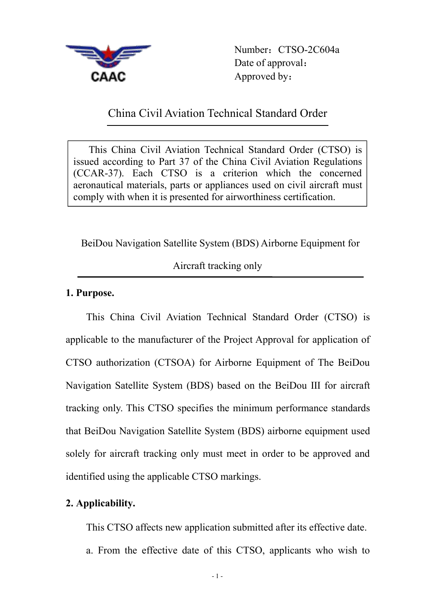

Number: CTSO-2C604a Date of approval: Approved by:

## China Civil Aviation Technical Standard Order

This China Civil Aviation Technical Standard Order (CTSO) is issued according to Part 37 of the China Civil Aviation Regulations (CCAR-37). Each CTSO is a criterion which the concerned aeronautical materials, parts or appliances used on civil aircraft must comply with when it is presented for airworthiness certification.

BeiDou Navigation Satellite System (BDS) Airborne Equipment for

Aircraft tracking only

## **1. Purpose.**

This China Civil Aviation Technical Standard Order (CTSO) is applicable to the manufacturer of the Project Approval for application of CTSO authorization (CTSOA) for Airborne Equipment of The BeiDou Navigation Satellite System (BDS) based on the BeiDou Ⅲ for aircraft tracking only. This CTSO specifies the minimum performance standards that BeiDou Navigation Satellite System (BDS) airborne equipment used solely for aircraft tracking only must meet in order to be approved and identified using the applicable CTSO markings.

## **2. Applicability.**

This CTSO affects new application submitted after its effective date. a. From the effective date of this CTSO, applicants who wish to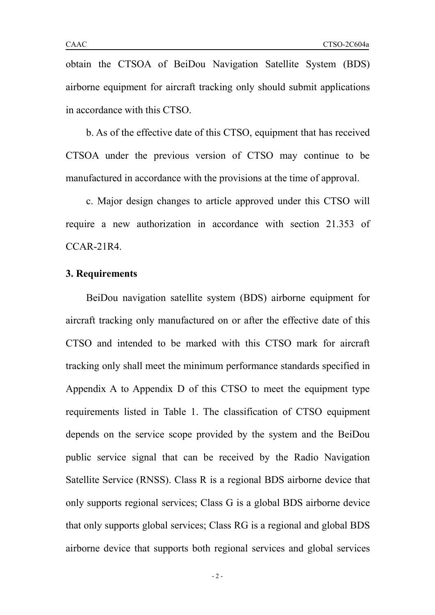obtain the CTSOA of BeiDou Navigation Satellite System (BDS) airborne equipment for aircraft tracking only should submit applications in accordance with this CTSO.<br>b. As of the effective date of this CTSO, equipment that has received

CTSOA under the previous version of CTSO may continue to be manufactured in accordance with the provisions at the time of approval.

c. Major design changes to article approved under this CTSO will require a new authorization in accordance with section 21.353 of CCAR-21R4.

### **3. Requirements**

BeiDou navigation satellite system (BDS) airborne equipment for aircraft tracking only manufactured on or after the effective date of this CTSO and intended to be marked with this CTSO mark for aircraft tracking only shall meet the minimum performance standards specified in Appendix A to Appendix D of this CTSO to meet the equipment type requirements listed in Table 1. The classification of CTSO equipment depends on the service scope provided by the system and the BeiDou public service signal that can be received by the Radio Navigation Satellite Service (RNSS). Class R is a regional BDS airborne device that only supports regional services; Class G is a global BDS airborne device that only supports global services; Class RG is a regional and global BDS airborne device that supports both regional services and global services

- 2 -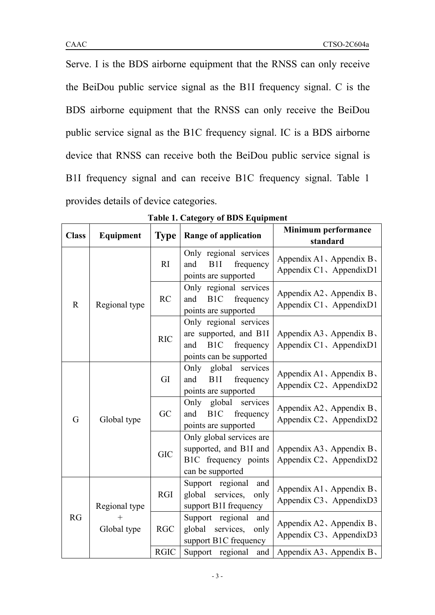Serve. I is the BDS airborne equipment that the RNSS can only receive the BeiDou public service signal as the B1I frequency signal. C is the BDS airborne equipment that the RNSS can only receive the BeiDou public service signal as the B1C frequency signal. IC is a BDS airborne device that RNSS can receive both the BeiDou public service signal is B1I frequency signal and can receive B1C frequency signal. Table 1 provides details of device categories.

| <b>Class</b> | Equipment     | <b>Type</b>                                                                                                                                                                                                                                                                                                                                                                                                                                                                                                                                                                                                                                                                                                                                                                                                                                                                                                                                                                                                                                                                                                                                                                                 | <b>Range of application</b>                                               | standard                                               |
|--------------|---------------|---------------------------------------------------------------------------------------------------------------------------------------------------------------------------------------------------------------------------------------------------------------------------------------------------------------------------------------------------------------------------------------------------------------------------------------------------------------------------------------------------------------------------------------------------------------------------------------------------------------------------------------------------------------------------------------------------------------------------------------------------------------------------------------------------------------------------------------------------------------------------------------------------------------------------------------------------------------------------------------------------------------------------------------------------------------------------------------------------------------------------------------------------------------------------------------------|---------------------------------------------------------------------------|--------------------------------------------------------|
|              |               | RI                                                                                                                                                                                                                                                                                                                                                                                                                                                                                                                                                                                                                                                                                                                                                                                                                                                                                                                                                                                                                                                                                                                                                                                          | Only regional services<br>B1I<br>and<br>frequency<br>points are supported | Appendix A1, Appendix $B_1$<br>Appendix C1, AppendixD1 |
| $\mathbf R$  | Regional type | <b>Minimum performance</b><br>Only regional services<br>Appendix A2, Appendix $B_1$<br>B <sub>1</sub> C<br><b>RC</b><br>and<br>frequency<br>Appendix C1, Appendix D1<br>points are supported<br>Only regional services<br>are supported, and B1I<br>Appendix $A3$ , Appendix B,<br><b>RIC</b><br>B <sub>1</sub> C<br>frequency<br>Appendix C1, Appendix D1<br>and<br>points can be supported<br>global services<br>Only<br>Appendix A1, Appendix $B_1$<br>GI<br>and<br>B1I<br>frequency<br>Appendix C2, AppendixD2<br>points are supported<br>global services<br>Only<br>Appendix A2, Appendix B,<br>GC<br>and<br>B <sub>1</sub> C<br>frequency<br>Appendix C2, AppendixD2<br>points are supported<br>Only global services are<br>supported, and B1I and<br>Appendix A3, Appendix B,<br><b>GIC</b><br>B1C frequency points<br>Appendix C2, AppendixD2<br>can be supported<br>Support regional<br>and<br>Appendix A1, Appendix B,<br><b>RGI</b><br>global services,<br>only<br>Appendix C3, Appendix D3<br>support B1I frequency<br>Support regional and<br>$^{+}$<br>Appendix A2, Appendix $B_1$<br>global services, only<br><b>RGC</b><br>Appendix C3, AppendixD3<br>support B1C frequency |                                                                           |                                                        |
|              |               |                                                                                                                                                                                                                                                                                                                                                                                                                                                                                                                                                                                                                                                                                                                                                                                                                                                                                                                                                                                                                                                                                                                                                                                             |                                                                           |                                                        |
|              | Global type   |                                                                                                                                                                                                                                                                                                                                                                                                                                                                                                                                                                                                                                                                                                                                                                                                                                                                                                                                                                                                                                                                                                                                                                                             |                                                                           |                                                        |
| $\mathbf G$  |               |                                                                                                                                                                                                                                                                                                                                                                                                                                                                                                                                                                                                                                                                                                                                                                                                                                                                                                                                                                                                                                                                                                                                                                                             |                                                                           |                                                        |
|              |               |                                                                                                                                                                                                                                                                                                                                                                                                                                                                                                                                                                                                                                                                                                                                                                                                                                                                                                                                                                                                                                                                                                                                                                                             |                                                                           |                                                        |
| RG           | Regional type |                                                                                                                                                                                                                                                                                                                                                                                                                                                                                                                                                                                                                                                                                                                                                                                                                                                                                                                                                                                                                                                                                                                                                                                             |                                                                           |                                                        |
|              | Global type   |                                                                                                                                                                                                                                                                                                                                                                                                                                                                                                                                                                                                                                                                                                                                                                                                                                                                                                                                                                                                                                                                                                                                                                                             |                                                                           |                                                        |
|              |               | <b>RGIC</b>                                                                                                                                                                                                                                                                                                                                                                                                                                                                                                                                                                                                                                                                                                                                                                                                                                                                                                                                                                                                                                                                                                                                                                                 | Support regional<br>and                                                   | Appendix $A3$ , Appendix B,                            |

**Table 1. Category of BDS Equipment**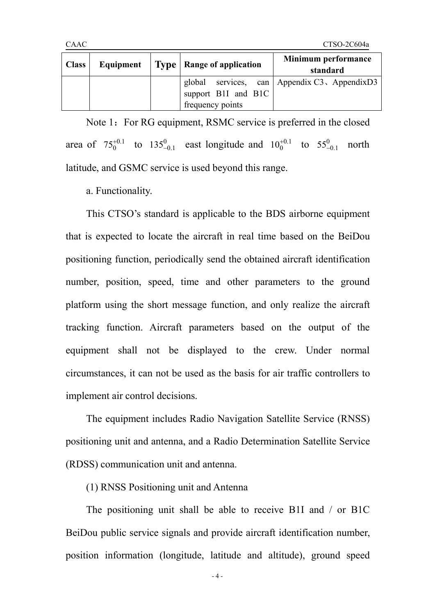| <b>Class</b> |  | Equipment $\vert$ Type $\vert$ Range of application | <b>Minimum performance</b><br>standard        |
|--------------|--|-----------------------------------------------------|-----------------------------------------------|
|              |  |                                                     | global services, can Appendix C3, Appendix D3 |
|              |  | support B1I and B1C                                 |                                               |
|              |  | frequency points                                    |                                               |

Note 1: For RG equipment, RSMC service is preferred in the closed area of  $75^{+0.1}_{0}$  to  $135^{0}_{-0.1}$  east longitude and  $10^{+0.1}_{0}$  to  $55^{0}_{-0.1}$  north latitude, and GSMC service is used beyond this range.

a. Functionality.

This CTSO's standard is applicable to the BDS airborne equipment that is expected to locate the aircraft in real time based on the BeiDou positioning function, periodically send the obtained aircraft identification number, position, speed, time and other parameters to the ground platform using the short message function, and only realize the aircraft tracking function. Aircraft parameters based on the output of the equipment shall not be displayed to the crew. Under normal circumstances, it can not be used as the basis for air traffic controllers to implement air control decisions.

The equipment includes Radio Navigation Satellite Service (RNSS) positioning unit and antenna, and a Radio Determination Satellite Service (RDSS) communication unit and antenna.

(1) RNSS Positioning unit and Antenna

The positioning unit shall be able to receive B1I and / or B1C BeiDou public service signals and provide aircraft identification number, position information (longitude, latitude and altitude), ground speed

- 4 -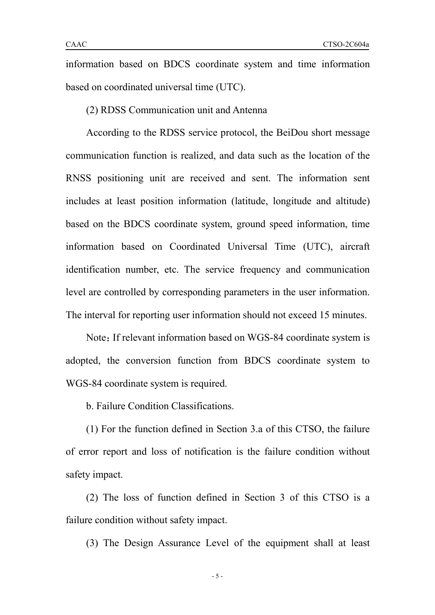information based on BDCS coordinate system and time information based on coordinated universal time (UTC).

(2) RDSS Communication unit and Antenna

According to the RDSS service protocol, the BeiDou short message communication function is realized, and data such as the location of the RNSS positioning unit are received and sent. The information sent includes at least position information (latitude, longitude and altitude) based on the BDCS coordinate system, ground speed information, time information based on Coordinated Universal Time (UTC), aircraft identification number, etc. The service frequency and communication level are controlled by corresponding parameters in the user information. The interval for reporting user information should not exceed 15 minutes.

Note: If relevant information based on WGS-84 coordinate system is adopted, the conversion function from BDCS coordinate system to WGS-84 coordinate system is required.

b. Failure Condition Classifications.

(1) For the function defined in Section 3.a of this CTSO, the failure of error report and loss of notification is the failure condition without safety impact.

(2) The loss of function defined in Section 3 of this CTSO is a failure condition without safety impact.

(3) The Design Assurance Level of the equipment shall at least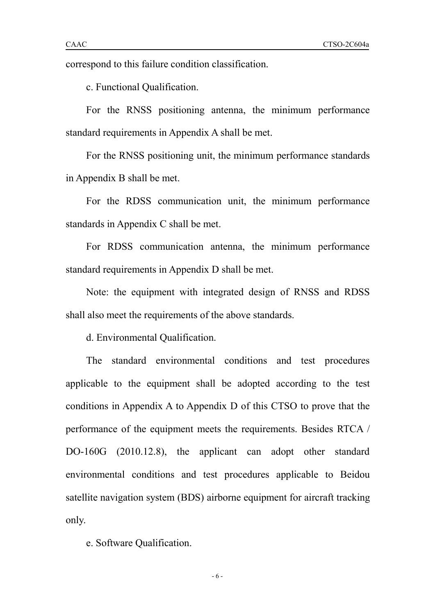c. Functional Qualification.

For the RNSS positioning antenna, the minimum performance standard requirements in Appendix A shall be met.

For the RNSS positioning unit, the minimum performance standards in Appendix B shall be met.

For the RDSS communication unit, the minimum performance standards in Appendix C shall be met.

For RDSS communication antenna, the minimum performance standard requirements in Appendix D shall be met.

Note: the equipment with integrated design of RNSS and RDSS shall also meet the requirements of the above standards.

d. Environmental Qualification.

The standard environmental conditions and test procedures applicable to the equipment shall be adopted according to the test conditions in Appendix A to Appendix D of this CTSO to prove that the performance of the equipment meets the requirements. Besides RTCA / DO-160G (2010.12.8), the applicant can adopt other standard environmental conditions and test procedures applicable to Beidou satellite navigation system (BDS) airborne equipment for aircraft tracking only.<br>e. Software Oualification.

- 6 -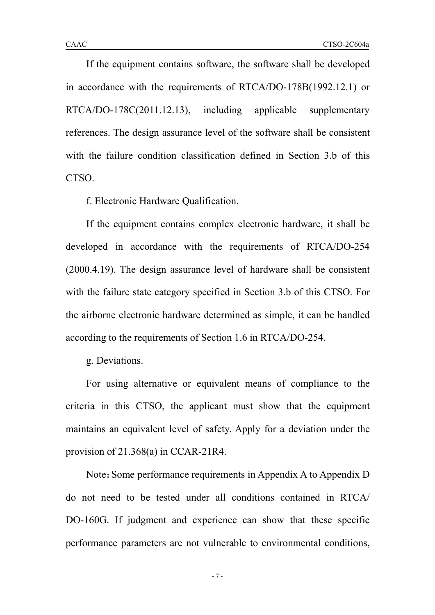If the equipment contains software, the software shall be developed in accordance with the requirements of RTCA/DO-178B(1992.12.1) or RTCA/DO-178C(2011.12.13), including applicable supplementary references. The design assurance level of the software shall be consistent with the failure condition classification defined in Section 3.b of this CTSO.

f. Electronic Hardware Qualification.

If the equipment contains complex electronic hardware, it shall be developed in accordance with the requirements of RTCA/DO-254 (2000.4.19). The design assurance level of hardware shall be consistent with the failure state category specified in Section 3.b of this CTSO. For the airborne electronic hardware determined as simple, it can be handled according to the requirements of Section 1.6 in RTCA/DO-254.

g. Deviations.

For using alternative or equivalent means of compliance to the criteria in this CTSO, the applicant must show that the equipment maintains an equivalent level of safety. Apply for a deviation under the provision of 21.368(a) in CCAR-21R4.

Note: Some performance requirements in Appendix A to Appendix D do not need to be tested under all conditions contained in RTCA/ DO-160G. If judgment and experience can show that these specific performance parameters are not vulnerable to environmental conditions,

- 7 -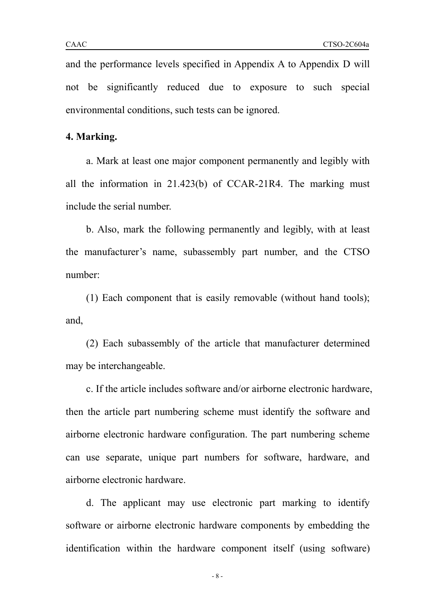and the performance levels specified in Appendix A to Appendix D will not be significantly reduced due to exposure to such special environmental conditions, such tests can be ignored.

#### **4. Marking.**

a. Mark at least one major component permanently and legibly with all the information in 21.423(b) of CCAR-21R4. The marking must include the serial number.

b. Also, mark the following permanently and legibly, with at least the manufacturer's name, subassembly part number, and the CTSO number:

(1) Each component that is easily removable (without hand tools); and,

(2) Each subassembly of the article that manufacturer determined may be interchangeable.

c. If the article includes software and/or airborne electronic hardware, then the article part numbering scheme must identify the software and airborne electronic hardware configuration. The part numbering scheme can use separate, unique part numbers for software, hardware, and airborne electronic hardware.

d. The applicant may use electronic part marking to identify software or airborne electronic hardware components by embedding the identification within the hardware component itself (using software)

- 8 -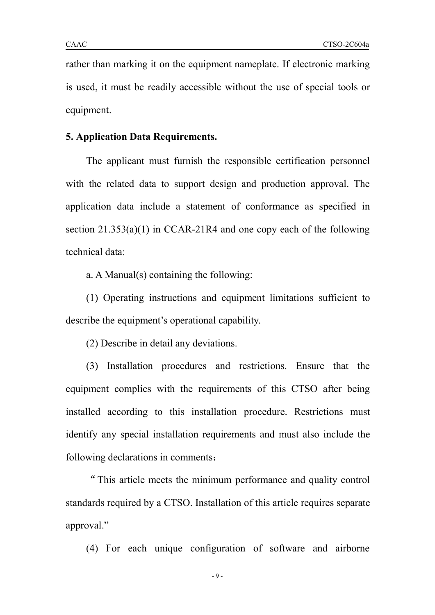rather than marking it on the equipment nameplate. If electronic marking is used, it must be readily accessible without the use of special tools or equipment.

#### **5. Application Data Requirements.**

The applicant must furnish the responsible certification personnel with the related data to support design and production approval. The application data include a statement of conformance as specified in section 21.353(a)(1) in CCAR-21R4 and one copy each of the following technical data:

a. A Manual(s) containing the following:

(1) Operating instructions and equipment limitations sufficient to describe the equipment's operational capability.

(2) Describe in detail any deviations.

(3) Installation procedures and restrictions. Ensure that the equipment complies with the requirements of this CTSO after being installed according to this installation procedure. Restrictions must identify any special installation requirements and must also include the following declarations in comments:

"This article meets the minimum performance and quality control standards required by a CTSO. Installation of this article requires separate approval."

(4) For each unique configuration of software and airborne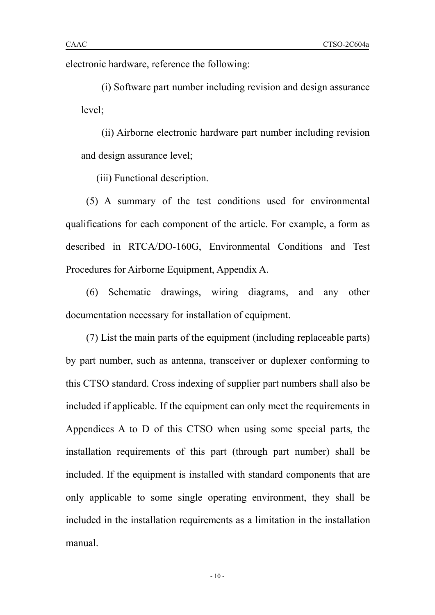electronic hardware, reference the following:

(i) Software part number including revision and design assurance level;

(ii) Airborne electronic hardware part number including revision and design assurance level;

(iii) Functional description.

(5) A summary of the test conditions used for environmental qualifications for each component of the article. For example, a form as described in RTCA/DO-160G, Environmental Conditions and Test Procedures for Airborne Equipment, Appendix A.

(6) Schematic drawings, wiring diagrams, and any other documentation necessary for installation of equipment.

 $(7)$  List the main parts of the equipment (including replaceable parts) by part number, such as antenna, transceiver or duplexer conforming to this CTSO standard. Cross indexing of supplier part numbers shallalso be included if applicable. If the equipment can only meet the requirements in Appendices A to D of this CTSO when using some special parts, the installation requirements of this part (through part number) shall be included. If the equipment is installed with standard components that are only applicable to some single operating environment, they shall be included in the installation requirements as a limitation in the installation manual.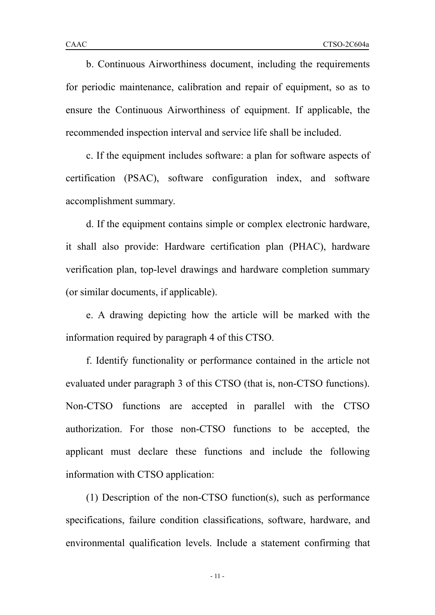b. Continuous Airworthiness document, including the requirements for periodic maintenance, calibration and repair of equipment, so as to ensure the Continuous Airworthiness of equipment. If applicable, the recommended inspection interval and service life shall be included.

c. If the equipment includes software: a plan for software aspects of certification (PSAC), software configuration index, and software accomplishment summary.

d. If the equipment contains simple or complex electronic hardware, it shall also provide: Hardware certification plan (PHAC), hardware verification plan, top-level drawings and hardware completion summary (or similar documents, if applicable).

e. A drawing depicting how the article will be marked with the information required by paragraph 4 of this CTSO.

f. Identify functionality or performance contained in the article not evaluated under paragraph 3 of this CTSO (that is, non-CTSO functions). Non-CTSO functions are accepted in parallel with the CTSO authorization. For those non-CTSO functions to be accepted, the applicant must declare these functions and include the following information with CTSO application:

(1) Description of the non-CTSO function(s), such as performance specifications, failure condition classifications, software, hardware, and environmental qualification levels. Include a statement confirming that

- 11 -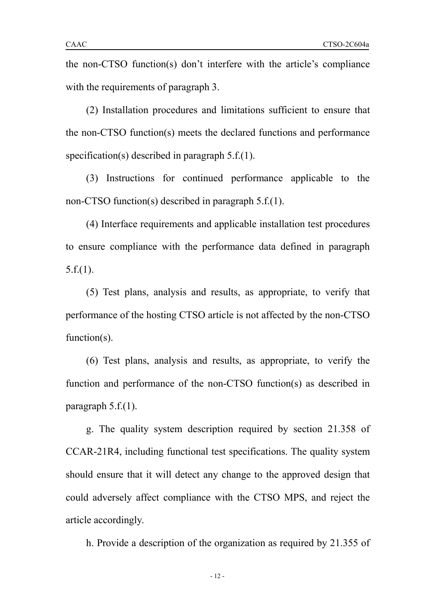the non-CTSO function(s) don't interfere with the article's compliance with the requirements of paragraph 3.

(2) Installation procedures and limitations sufficient to ensure that the non-CTSO function(s) meets the declared functions and performance specification(s) described in paragraph 5.f.(1).

(3) Instructions for continued performance applicable to the non-CTSO function(s) described in paragraph 5.f.(1).

(4) Interface requirements and applicable installation test procedures to ensure compliance with the performance data defined in paragraph  $5.f.(1)$ .

(5) Test plans, analysis and results, as appropriate, to verify that performance of the hosting CTSO article is not affected by the non-CTSO function(s).

(6) Test plans, analysis and results, as appropriate, to verify the function and performance of the non-CTSO function(s) as described in paragraph 5.f.(1).

g. The quality system description required by section 21.358 of CCAR-21R4, including functional test specifications. The quality system should ensure that it will detect any change to the approved design that could adversely affect compliance with the CTSO MPS, and reject the article accordingly.

h. Provide a description of the organization as required by 21.355 of

- 12 -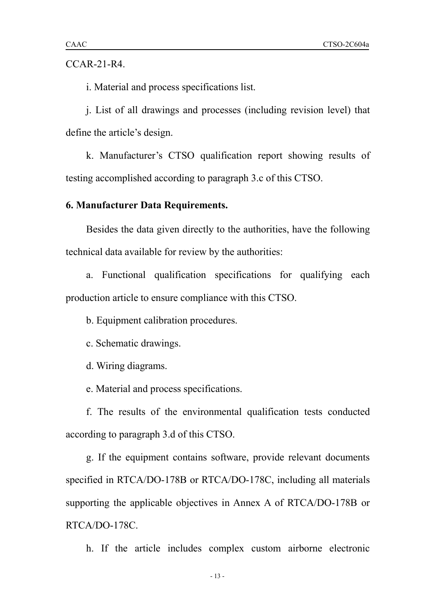CCAR-21-R4.

i. Material and process specifications list.

j. List of all drawings and processes (including revision level) that define the article's design.

k. Manufacturer's CTSO qualification report showing results of testing accomplished according to paragraph 3.c of this CTSO.

## **6. Manufacturer Data Requirements.**

Besides the data given directly to the authorities, have the following technical data available for review by the authorities:

a. Functional qualification specifications for qualifying each production article to ensure compliance with this CTSO.<br>b. Equipment calibration procedures.

c. Schematic drawings.

d. Wiring diagrams.

e. Material and process specifications.

f. The results of the environmental qualification tests conducted according to paragraph 3.d of this CTSO.

g. If the equipment contains software, provide relevant documents specified in RTCA/DO-178B or RTCA/DO-178C, including all materials supporting the applicable objectives in Annex A of RTCA/DO-178B or RTCA/DO-178C.

h. If the article includes complex custom airborne electronic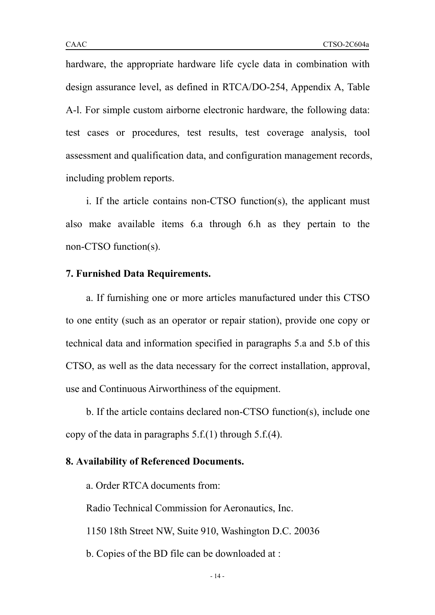hardware, the appropriate hardware life cycle data in combination with design assurance level, as defined in RTCA/DO-254, Appendix A, Table A-l. For simple custom airborne electronic hardware, the following data: test cases or procedures, test results, test coverage analysis, tool assessment and qualification data, and configuration management records, including problem reports.

i. If the article contains non-CTSO function(s), the applicant must also make available items 6.a through 6.h as they pertain to the non-CTSO function(s).

#### **7. Furnished Data Requirements.**

a. If furnishing one or more articles manufactured under this CTSO to one entity (such as an operator or repair station), provide one copy or technical data and information specified in paragraphs 5.a and 5.b of this CTSO, as well as the data necessary for the correct installation, approval, use and Continuous Airworthiness of the equipment.

b. If the article contains declared non-CTSO function(s), include one copy of the data in paragraphs 5.f.(1) through 5.f.(4).

### **8. Availability of Referenced Documents.**

a. Order RTCA documents from:

Radio Technical Commission for Aeronautics, Inc.

1150 18th Street NW, Suite 910, Washington D.C. 20036

b. Copies of the BD file can be downloaded at :

- 14 -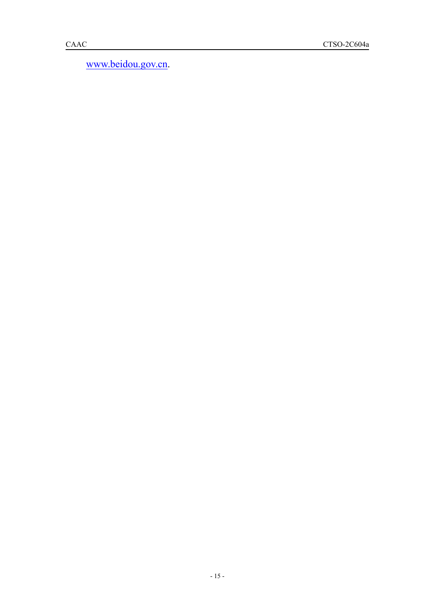[www.beidou.gov.cn](http://www.beidou.gov.cn).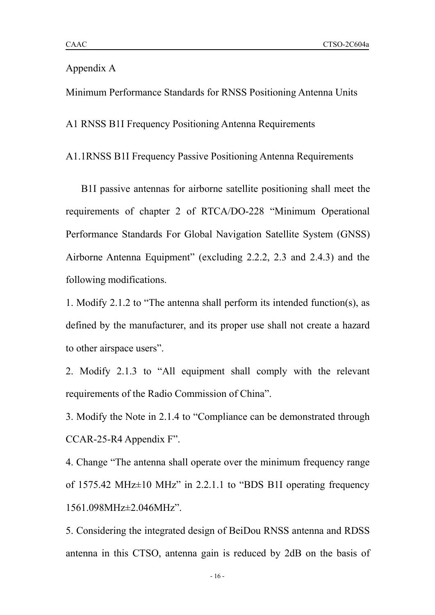## Appendix A

Minimum Performance Standards for RNSS Positioning Antenna Units

A1 RNSS B1I Frequency Positioning Antenna Requirements

A1.1RNSS B1I Frequency Passive Positioning Antenna Requirements

B1I passive antennas for airborne satellite positioning shall meet the requirements of chapter 2 of RTCA/DO-228 "Minimum Operational Performance Standards For Global Navigation Satellite System (GNSS) Airborne Antenna Equipment" (excluding 2.2.2, 2.3 and 2.4.3) and the following modifications.

1. Modify 2.1.2 to "The antenna shall perform its intended function(s), as defined by the manufacturer, and its proper use shall not create a hazard to other airspace users".

2. Modify 2.1.3 to "All equipment shall comply with the relevant requirements of the Radio Commission of China".

3. Modify the Note in 2.1.4 to "Compliance can be demonstrated through CCAR-25-R4 Appendix F".

4. Change "The antenna shall operate over the minimum frequency range of 1575.42 MHz $\pm$ 10 MHz" in 2.2.1.1 to "BDS B1I operating frequency 1561.098MHz±2.046MHz".

5. Considering the integrated design of BeiDou RNSS antenna and RDSS antenna in this CTSO, antenna gain is reduced by 2dB on the basis of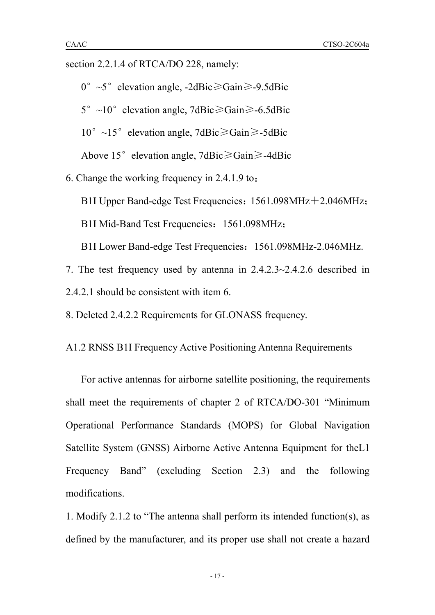section 2.2.1.4 of RTCA/DO 228, namely:

0°~5°elevation angle, -2dBic≥Gain≥-9.5dBic

 $5^{\circ}$  ~10° elevation angle, 7dBic $\geq$ Gain $\geq$ -6.5dBic

 $10^{\circ}$  ~15° elevation angle, 7dBic≥Gain≥-5dBic

Above 15°elevation angle, 7dBic≥Gain≥-4dBic

6. Change the working frequency in 2.4.1.9 to:

B1I Upper Band-edge Test Frequencies: 1561.098MHz+2.046MHz;

B1I Mid-Band Test Frequencies: 1561.098MHz;

B1I Lower Band-edge Test Frequencies:1561.098MHz-2.046MHz.

7. The test frequency used by antenna in 2.4.2.3~2.4.2.6 described in 2.4.2.1 should be consistent with item 6.

8. Deleted 2.4.2.2 Requirements for GLONASS frequency.

A1.2 RNSS B1I Frequency Active Positioning Antenna Requirements

For active antennas for airborne satellite positioning, the requirements shall meet the requirements of chapter 2 of RTCA/DO-301 "Minimum Operational Performance Standards (MOPS) for Global Navigation Satellite System (GNSS) Airborne Active Antenna Equipment for theL1 Frequency Band" (excluding Section 2.3) and the following modifications.

1. Modify 2.1.2 to "The antenna shall perform its intended function(s), as defined by the manufacturer, and its proper use shall not create a hazard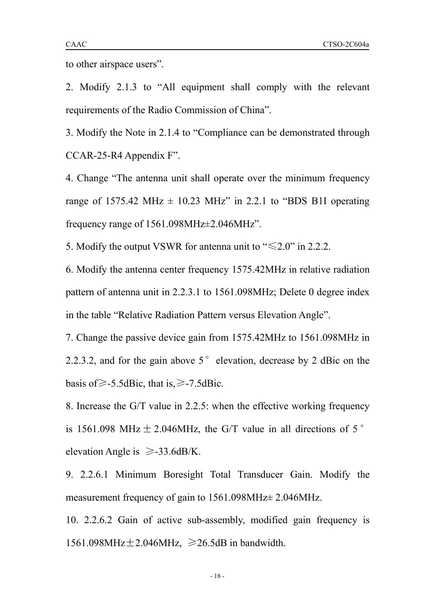to other airspace users".

2. Modify 2.1.3 to "All equipment shall comply with the relevant requirements of the Radio Commission of China".

3. Modify the Note in 2.1.4 to "Compliance can be demonstrated through CCAR-25-R4 Appendix F".

4. Change "The antenna unit shall operate over the minimum frequency range of 1575.42 MHz  $\pm$  10.23 MHz" in 2.2.1 to "BDS B1I operating frequency range of 1561.098MHz±2.046MHz".

5. Modify the output VSWR for antenna unit to " $\leq 2.0$ " in 2.2.2.

6. Modify the antenna center frequency 1575.42MHz in relative radiation pattern of antenna unit in 2.2.3.1 to 1561.098MHz; Delete 0 degree index in the table "Relative Radiation Pattern versus Elevation Angle".

7. Change the passive device gain from 1575.42MHz to 1561.098MHz in 2.2.3.2, and for the gain above  $5^{\circ}$  elevation, decrease by 2 dBic on the basis of $\ge$ -5.5dBic, that is, $\ge$ -7.5dBic.

8. Increase the G/T value in 2.2.5: when the effective working frequency is 1561.098 MHz  $\pm$  2.046MHz, the G/T value in all directions of 5° elevation Angle is  $\geq$ -33.6dB/K.

9. 2.2.6.1 Minimum Boresight Total Transducer Gain. Modify the measurement frequency of gain to 1561.098MHz± 2.046MHz.

10. 2.2.6.2 Gain of active sub-assembly, modified gain frequency is  $1561.098 MHz \pm 2.046 MHz$ ,  $\geq 26.5dB$  in bandwidth.

- 18 -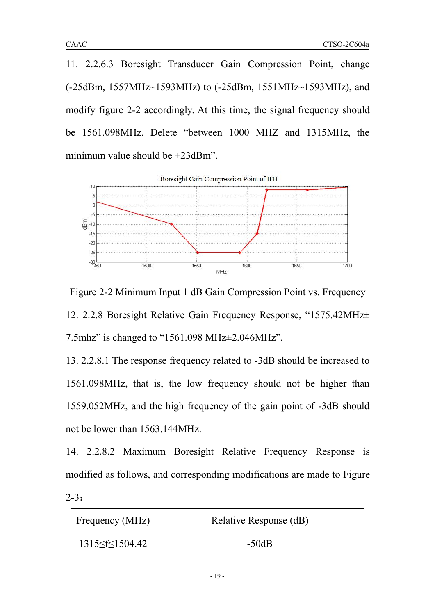11. 2.2.6.3 Boresight Transducer Gain Compression Point, change (-25dBm, 1557MHz~1593MHz) to (-25dBm, 1551MHz~1593MHz), and modify figure 2-2 accordingly. At this time, the signal frequency should be 1561.098MHz. Delete "between 1000 MHZ and 1315MHz, the minimum value should be +23dBm".



Figure 2-2 Minimum Input 1 dB Gain Compression Point vs. Frequency 12. 2.2.8 Boresight Relative Gain Frequency Response, "1575.42MHz± 7.5mhz" is changed to "1561.098 MHz±2.046MHz".

13. 2.2.8.1 The response frequency related to -3dB should be increased to 1561.098MHz, that is, the low frequency should not be higher than 1559.052MHz, and the high frequency of the gain point of -3dB should not be lower than 1563.144MHz.

14. 2.2.8.2 Maximum Boresight Relative Frequency Response is modified as follows, and corresponding modifications are made to Figure 2-3:

| Frequency (MHz)      | Relative Response (dB) |
|----------------------|------------------------|
| 1315 < $f$ < 1504.42 | $-50dB$                |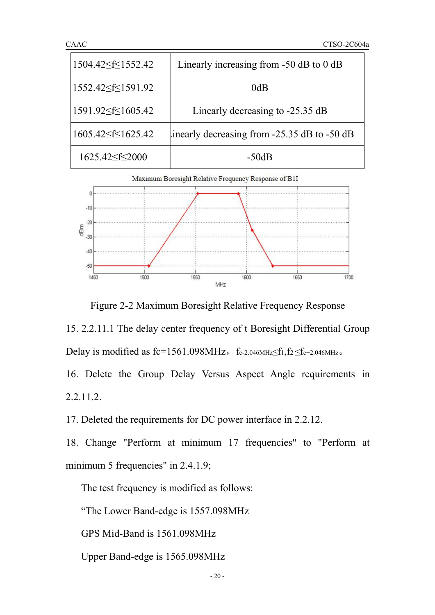| CAAC                          | CTSO-2C604a                                     |  |  |
|-------------------------------|-------------------------------------------------|--|--|
| $1504.42 \leq f \leq 1552.42$ | Linearly increasing from $-50$ dB to 0 dB       |  |  |
| 1552.42≤f≤1591.92             | 0dB                                             |  |  |
| 1591.92≤f≤1605.42             | Linearly decreasing to -25.35 dB                |  |  |
| $1605.42 \leq f \leq 1625.42$ | inearly decreasing from $-25.35$ dB to $-50$ dB |  |  |
| 1625.42 \stat \cdot 2000      | $-50dB$                                         |  |  |



Figure 2-2 Maximum Boresight Relative Frequency Response

15. 2.2.11.1 The delay center frequency of t Boresight Differential Group Delay is modified as fc=1561.098MHz, fc-2.046MHz $\leq$ f1,f2  $\leq$ fc+2.046MHz.

16. Delete the Group Delay Versus Aspect Angle requirements in 2.2.11.2.

17. Deleted the requirements for DC power interface in 2.2.12.

18. Change "Perform at minimum 17 frequencies" to "Perform at minimum 5 frequencies" in 2.4.1.9;

The test frequency is modified as follows:

"The Lower Band-edge is 1557.098MHz

GPS Mid-Band is 1561.098MHz

Upper Band-edge is 1565.098MHz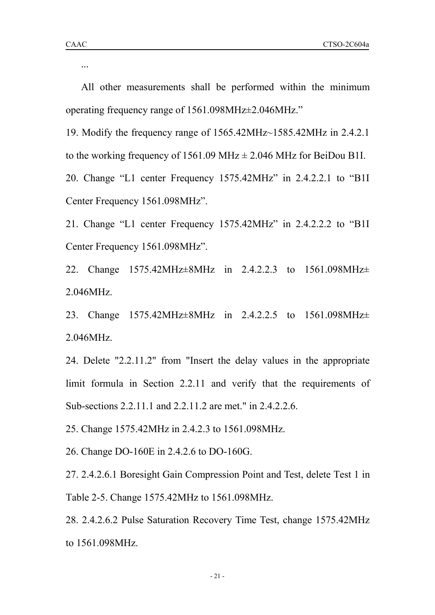...

All other measurements shall be performed within the minimum operating frequency range of 1561.098MHz±2.046MHz."

19. Modify the frequency range of 1565.42MHz~1585.42MHz in 2.4.2.1 to the working frequency of 1561.09 MHz  $\pm$  2.046 MHz for BeiDou B1I.

20. Change "L1 center Frequency 1575.42MHz" in 2.4.2.2.1 to "B1I Center Frequency 1561.098MHz".

21. Change "L1 center Frequency 1575.42MHz" in 2.4.2.2.2 to "B1I Center Frequency 1561.098MHz".

22. Change 1575.42MHz±8MHz in 2.4.2.2.3 to 1561.098MHz± 2.046MHz.

23. Change 1575.42MHz±8MHz in 2.4.2.2.5 to 1561.098MHz± 2.046MHz.

24. Delete "2.2.11.2" from "Insert the delay values in the appropriate limit formula in Section 2.2.11 and verify that the requirements of Sub-sections 2.2.11.1 and 2.2.11.2 are met." in 2.4.2.2.6.

25. Change 1575.42MHz in 2.4.2.3 to 1561.098MHz.

26. Change DO-160E in 2.4.2.6 to DO-160G.

27. 2.4.2.6.1 Boresight Gain Compression Point and Test, delete Test 1 in Table 2-5. Change 1575.42MHz to 1561.098MHz.

28. 2.4.2.6.2 Pulse Saturation Recovery Time Test, change 1575.42MHz to 1561.098MHz.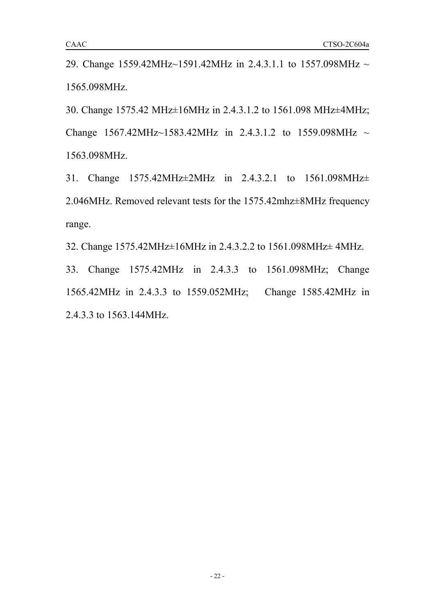29. Change 1559.42MHz~1591.42MHz in 2.4.3.1.1 to 1557.098MHz ~ 1565.098MHz.

30. Change 1575.42 MHz±16MHz in 2.4.3.1.2 to 1561.098 MHz±4MHz; Change 1567.42MHz~1583.42MHz in 2.4.3.1.2 to 1559.098MHz ~ 1563.098MHz.

31. Change 1575.42MHz±2MHz in 2.4.3.2.1 to 1561.098MHz± 2.046MHz. Removed relevant tests for the 1575.42mhz±8MHz frequency range.

32. Change 1575.42MHz±16MHz in 2.4.3.2.2 to 1561.098MHz± 4MHz.

33. Change 1575.42MHz in 2.4.3.3 to 1561.098MHz; Change 1565.42MHz in 2.4.3.3 to 1559.052MHz; Change 1585.42MHz in 2.4.3.3 to 1563.144MHz.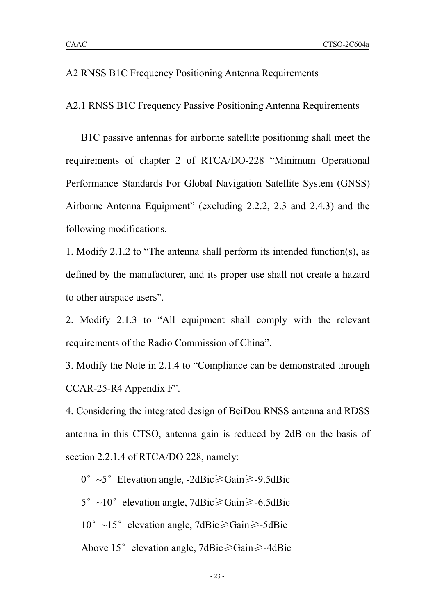#### A2 RNSS B1C Frequency Positioning Antenna Requirements

A2.1 RNSS B1C Frequency Passive Positioning Antenna Requirements

B1C passive antennas for airborne satellite positioning shall meet the requirements of chapter 2 of RTCA/DO-228 "Minimum Operational Performance Standards For Global Navigation Satellite System (GNSS) Airborne Antenna Equipment" (excluding 2.2.2, 2.3 and 2.4.3) and the following modifications.

1. Modify 2.1.2 to "The antenna shall perform its intended function(s), as defined by the manufacturer, and its proper use shall not create a hazard to other airspace users".

2. Modify 2.1.3 to "All equipment shall comply with the relevant requirements of the Radio Commission of China".

3. Modify the Note in 2.1.4 to "Compliance can be demonstrated through CCAR-25-R4 Appendix F".

4. Considering the integrated design of BeiDou RNSS antenna and RDSS antenna in this CTSO, antenna gain is reduced by 2dB on the basis of section 2.2.1.4 of RTCA/DO 228, namely:

0°~5°Elevation angle, -2dBic≥Gain≥-9.5dBic

 $5^{\circ}$  ~10° elevation angle, 7dBic $\geq$ Gain $\geq$ -6.5dBic

 $10^{\circ}$  ~15° elevation angle, 7dBic≥Gain≥-5dBic

Above 15°elevation angle, 7dBic≥Gain≥-4dBic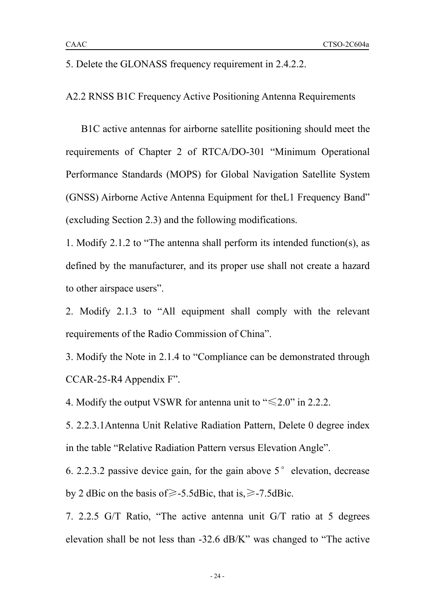A2.2 RNSS B1C Frequency Active Positioning Antenna Requirements

B1C active antennas for airborne satellite positioning should meet the requirements of Chapter 2 of RTCA/DO-301 "Minimum Operational Performance Standards (MOPS) for Global Navigation Satellite System (GNSS) Airborne Active Antenna Equipment for theL1 Frequency Band" (excluding Section 2.3) and the following modifications.

1. Modify 2.1.2 to "The antenna shall perform its intended function(s), as defined by the manufacturer, and its proper use shall not create a hazard to other airspace users".

2. Modify 2.1.3 to "All equipment shall comply with the relevant requirements of the Radio Commission of China".

3. Modify the Note in 2.1.4 to "Compliance can be demonstrated through CCAR-25-R4 Appendix F".

4. Modify the output VSWR for antenna unit to " $\leq 2.0$ " in 2.2.2.

5. 2.2.3.1Antenna Unit Relative Radiation Pattern, Delete 0 degree index in the table "Relative Radiation Pattern versus Elevation Angle".

6. 2.2.3.2 passive device gain, for the gain above  $5^{\circ}$  elevation, decrease by 2 dBic on the basis of≥-5.5dBic, that is,≥-7.5dBic.

7. 2.2.5 G/T Ratio, "The active antenna unit G/T ratio at 5 degrees elevation shall be not less than -32.6 dB/K" was changed to "The active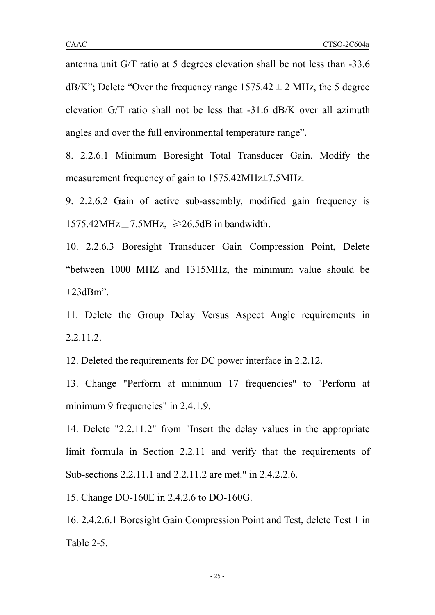antenna unit G/T ratio at 5 degrees elevation shall be not less than -33.6  $dB/K$ "; Delete "Over the frequency range  $1575.42 \pm 2$  MHz, the 5 degree elevation G/T ratio shall not be less that -31.6 dB/K over all azimuth angles and over the full environmental temperature range".

8. 2.2.6.1 Minimum Boresight Total Transducer Gain. Modify the measurement frequency of gain to 1575.42MHz $\pm$ 7.5MHz.

9. 2.2.6.2 Gain of active sub-assembly, modified gain frequency is 1575.42MHz $\pm$ 7.5MHz,  $\geq$ 26.5dB in bandwidth.

10. 2.2.6.3 Boresight Transducer Gain Compression Point, Delete "between 1000 MHZ and 1315MHz, the minimum value should be  $+23$ dBm".

11. Delete the Group Delay Versus Aspect Angle requirements in 2.2.11.2.

12. Deleted the requirements for DC power interface in 2.2.12.

13. Change "Perform at minimum 17 frequencies" to "Perform at minimum 9 frequencies" in 2.4.1.9.

14. Delete "2.2.11.2" from "Insert the delay values in the appropriate limit formula in Section 2.2.11 and verify that the requirements of Sub-sections 2.2.11.1 and 2.2.11.2 are met." in 2.4.2.2.6.

15. Change DO-160E in 2.4.2.6 to DO-160G.

16. 2.4.2.6.1 Boresight Gain Compression Point and Test, delete Test 1 in Table 2-5.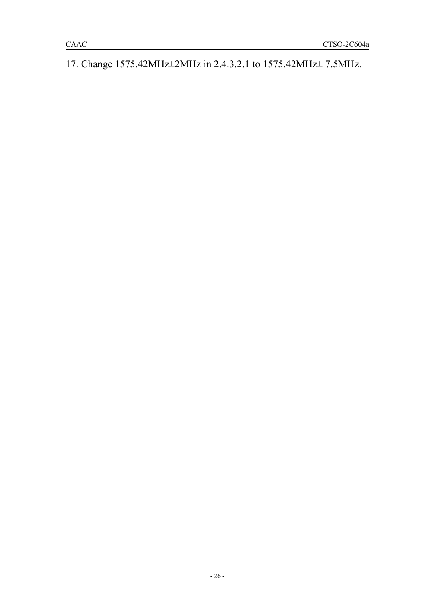17. Change 1575.42MHz±2MHz in 2.4.3.2.1 to 1575.42MHz± 7.5MHz.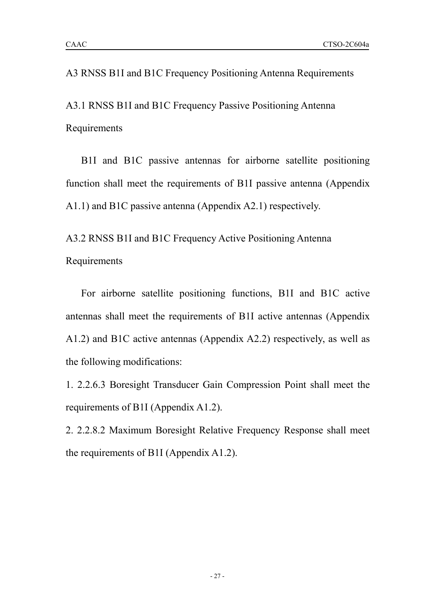## A3 RNSS B1I and B1C Frequency Positioning Antenna Requirements

A3.1 RNSS B1I and B1C Frequency Passive Positioning Antenna Requirements

B1I and B1C passive antennas for airborne satellite positioning function shall meet the requirements of B1I passive antenna (Appendix A1.1) and B1C passive antenna (Appendix A2.1) respectively.

A3.2 RNSS B1I and B1C Frequency Active Positioning Antenna Requirements

For airborne satellite positioning functions, B1I and B1C active antennas shall meet the requirements of B1I active antennas (Appendix A1.2) and B1C active antennas (Appendix A2.2) respectively, as well as the following modifications:

1. 2.2.6.3 Boresight Transducer Gain Compression Point shall meet the requirements of B1I (Appendix A1.2).

2. 2.2.8.2 Maximum Boresight Relative Frequency Response shall meet the requirements of B1I (Appendix  $A1.2$ ).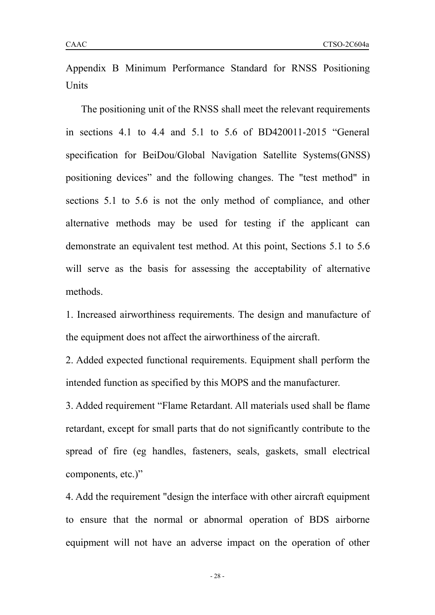The positioning unit of the RNSS shall meet the relevant requirements in sections 4.1 to 4.4 and 5.1 to 5.6 of BD420011-2015 "General specification for BeiDou/Global Navigation Satellite Systems(GNSS) positioning devices" and the following changes. The "test method" in sections 5.1 to 5.6 is not the only method of compliance, and other alternative methods may be used for testing if the applicant can demonstrate an equivalent test method. At this point, Sections 5.1 to 5.6 will serve as the basis for assessing the acceptability of alternative methods.

1. Increased airworthiness requirements. The design and manufacture of the equipment does not affect the airworthiness of the aircraft.

2. Added expected functional requirements. Equipment shall perform the intended function as specified by this MOPS and the manufacturer.

3. Added requirement "Flame Retardant. All materials used shall be flame retardant, except for small parts that do not significantly contribute to the spread of fire (eg handles, fasteners, seals, gaskets, small electrical components, etc.)"

4. Add the requirement "design the interface with other aircraft equipment to ensure that the normal or abnormal operation of BDS airborne equipment will not have an adverse impact on the operation of other

- 28 -

Units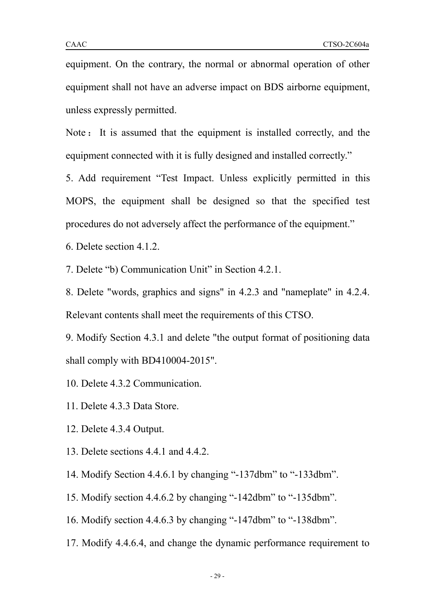equipment. On the contrary, the normal or abnormal operation of other equipment shall not have an adverse impact on BDS airborne equipment, unless expressly permitted.

Note : It is assumed that the equipment is installed correctly, and the equipment connected with it is fully designed and installed correctly."

5. Add requirement "Test Impact. Unless explicitly permitted in this MOPS, the equipment shall be designed so that the specified test procedures do not adversely affect the performance of the equipment."

6. Delete section 4.1.2.

7. Delete "b) Communication Unit" in Section 4.2.1.

8. Delete "words, graphics and signs" in 4.2.3 and "nameplate" in 4.2.4. Relevant contents shall meet the requirements of this CTSO.

9. Modify Section 4.3.1 and delete "the output format of positioning data shall comply with BD410004-2015".

10. Delete 4.3.2 Communication.

11. Delete 4.3.3 Data Store.<br>12. Delete 4.3.4 Output.

13. Delete sections 4.4.1 and 4.4.2.

14. Modify Section 4.4.6.1 by changing "-137dbm" to "-133dbm".

15. Modify section 4.4.6.2 by changing "-142dbm" to "-135dbm".

16. Modify section 4.4.6.3 by changing "-147dbm" to "-138dbm".

17. Modify 4.4.6.4, and change the dynamic performance requirement to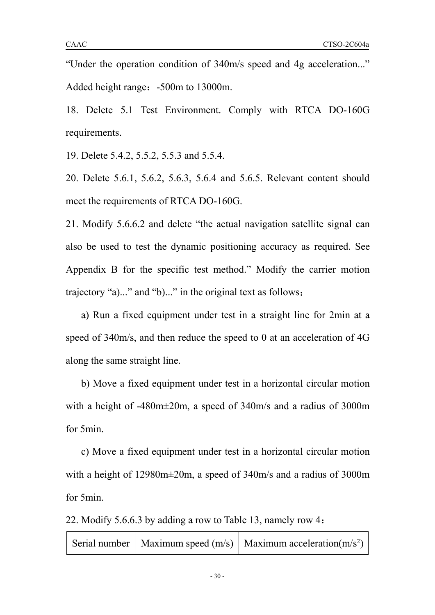"Under the operation condition of 340m/s speed and 4g acceleration..." Added height range: -500m to 13000m.

18. Delete 5.1 Test Environment. Comply with RTCA DO-160G requirements.

19. Delete 5.4.2, 5.5.2, 5.5.3 and 5.5.4.

20. Delete 5.6.1, 5.6.2, 5.6.3, 5.6.4 and 5.6.5. Relevant content should meet the requirements of RTCA DO-160G.

21. Modify 5.6.6.2 and delete "the actual navigation satellite signal can also be used to test the dynamic positioning accuracy as required. See Appendix B for the specific test method." Modify the carrier motion trajectory "a)..." and "b)..." in the original text as follows:

a) Run a fixed equipment under test in a straight line for 2min at a speed of 340m/s, and then reduce the speed to 0 at an acceleration of 4G along the same straight line.

b) Move a fixed equipment under test in a horizontal circular motion with a height of -480m±20m, a speed of 340m/s and a radius of 3000m for 5min.

c) Move a fixed equipment under test in a horizontal circular motion with a height of 12980m±20m, a speed of 340m/s and a radius of 3000m for 5min.

22. Modify 5.6.6.3 by adding a row to Table 13, namely row 4:

|  |  | Serial number   Maximum speed $(m/s)$   Maximum acceleration $(m/s^2)$ |  |
|--|--|------------------------------------------------------------------------|--|
|--|--|------------------------------------------------------------------------|--|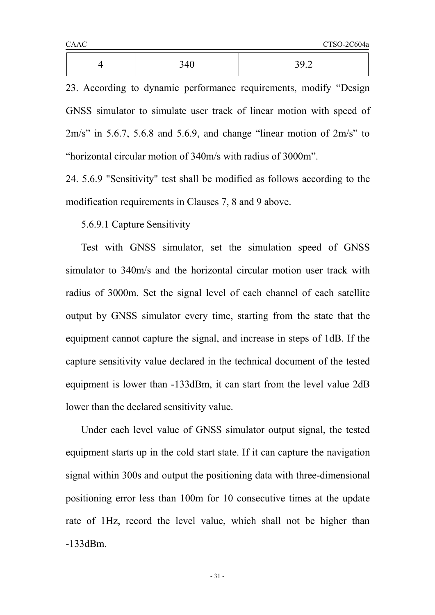| $\Delta$ | 340<br>ℸ∪<br>ັ | 392<br>J J .4 |  |
|----------|----------------|---------------|--|
|          |                |               |  |

23. According to dynamic performance requirements, modify "Design GNSS simulator to simulate user track of linear motion with speed of  $2m/s$ " in 5.6.7, 5.6.8 and 5.6.9, and change "linear motion of  $2m/s$ " to "horizontal circular motion of 340m/s with radius of 3000m".

24. 5.6.9 "Sensitivity" test shall be modified as follows according to the modification requirements in Clauses 7, 8 and 9 above.

5.6.9.1 Capture Sensitivity

Test with GNSS simulator, set the simulation speed of GNSS simulator to 340m/s and the horizontal circular motion user track with radius of 3000m. Set the signal level of each channel of each satellite output by GNSS simulatorevery time, starting from the state that the equipment cannot capture the signal, and increase in steps of 1dB. If the capture sensitivity value declared in the technical document of the tested equipment is lower than -133dBm, it can start from the level value 2dB lower than the declared sensitivity value.

Under each level value of GNSS simulator output signal, the tested equipment starts up in the cold start state. If it can capture the navigation signal within 300s and output the positioning data with three-dimensional positioning error less than 100m for 10 consecutive times at the update rate of 1Hz, record the level value, which shall not be higher than -133dBm.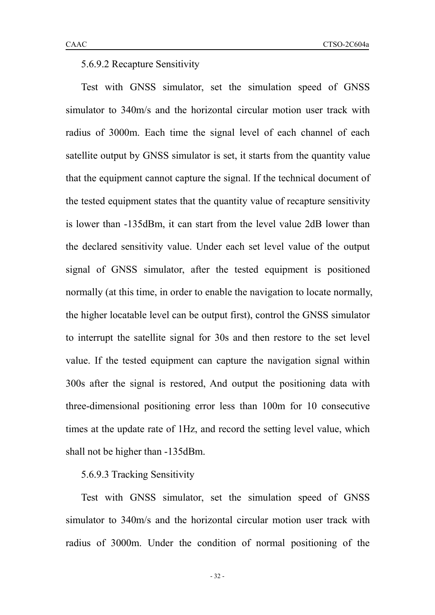#### 5.6.9.2 Recapture Sensitivity

Test with GNSS simulator, set the simulation speed of GNSS simulator to 340m/s and the horizontal circular motion user track with radius of 3000m. Each time the signal level of each channel of each satellite output by GNSS simulator is set, it starts from the quantity value that the equipment cannot capture the signal. If the technical document of the tested equipment states that the quantity value of recapture sensitivity is lower than -135dBm, it can start from the level value2dB lower than the declared sensitivity value. Under each set level value of the output signal of GNSS simulator, after the tested equipment is positioned normally (at this time, in order to enable the navigation to locate normally, the higher locatable level can be output first), control the GNSS simulator to interrupt the satellite signal for 30s and then restore to the set level value. If the tested equipment can capture the navigation signal within 300s after the signal is restored, And output the positioning data with three-dimensional positioning error less than 100m for 10 consecutive times at the update rate of 1Hz, and record the setting level value, which shall not be higher than -135dBm.

## 5.6.9.3 Tracking Sensitivity

Test with GNSS simulator, set the simulation speed of GNSS simulator to 340m/s and the horizontal circular motion user track with radius of 3000m. Under the condition of normal positioning of the

- 32 -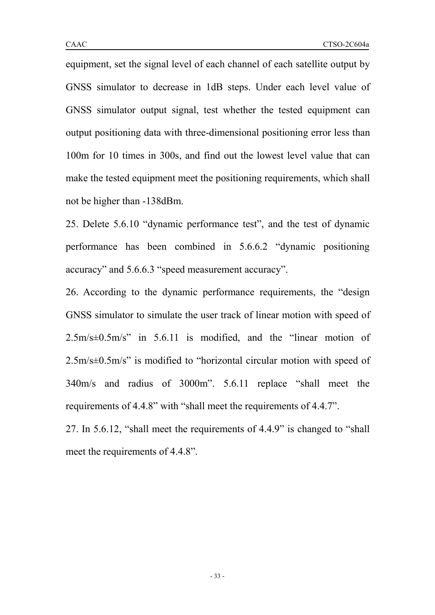equipment, set the signal level of each channel of each satellite output by GNSS simulator to decrease in 1dB steps. Under each level value of GNSS simulator output signal, test whether the tested equipment can output positioning data with three-dimensional positioning error less than 100m for 10 times in 300s, and find out the lowest level value that can make the tested equipment meet the positioning requirements, which shall not be higher than -138dBm.

25. Delete 5.6.10 "dynamic performance test", and the test of dynamic performance has been combined in 5.6.6.2 "dynamic positioning accuracy" and 5.6.6.3 "speed measurement accuracy".

26. According to the dynamic performance requirements, the "design GNSS simulator to simulate the user track of linear motion with speed of 2.5m/s±0.5m/s" in 5.6.11 is modified, and the "linear motion of 2.5m/s±0.5m/s" is modified to "horizontal circular motion with speed of 340m/s and radius of 3000m". 5.6.11 replace "shall meet the requirements of 4.4.8" with "shall meet the requirements of 4.4.7".

27. In 5.6.12, "shall meet the requirements of 4.4.9" is changed to "shall meet the requirements of 4.4.8".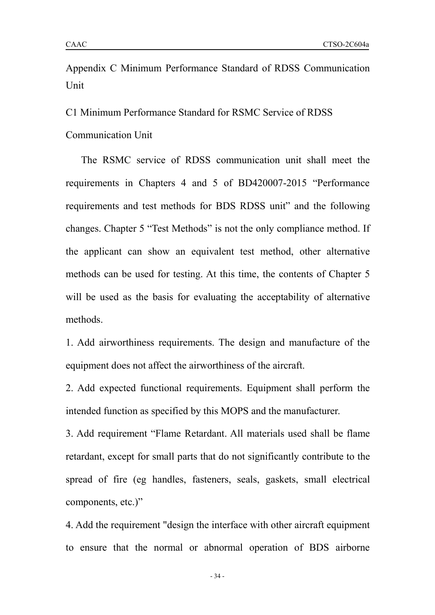C1 Minimum Performance Standard for RSMC Service of RDSS

Communication Unit

The RSMC service of RDSS communication unit shall meet the requirements in Chapters 4 and 5 of BD420007-2015 "Performance requirements and test methods for BDS RDSS unit" and the following changes. Chapter 5 "Test Methods" is not the only compliance method. If the applicant can show an equivalent test method, other alternative methods can be used for testing. At this time, the contents of Chapter 5 will be used as the basis for evaluating the acceptability of alternative methods.

1. Add airworthiness requirements. The design and manufacture of the equipment does not affect the airworthiness of the aircraft.

2. Add expected functional requirements. Equipment shall perform the intended function as specified by this MOPS and the manufacturer.

3. Add requirement "Flame Retardant. All materials used shall be flame retardant, except for small parts that do not significantly contribute to the spread of fire (eg handles, fasteners, seals, gaskets, small electrical components, etc.)"

4. Add the requirement "design the interface with other aircraft equipment to ensure that the normal or abnormal operation of BDS airborne

- 34 -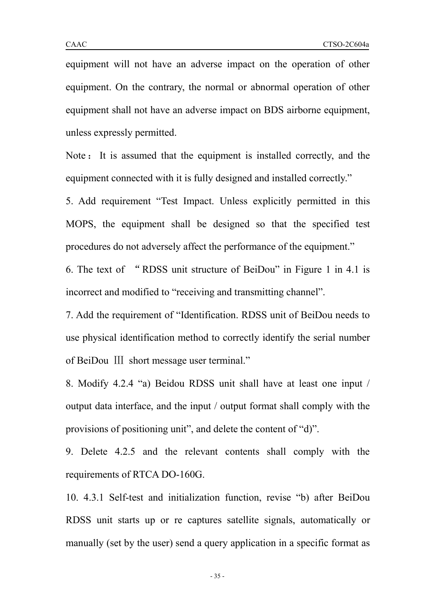equipment will not have an adverse impact on the operation of other equipment. On the contrary, the normal or abnormal operation of other equipment shall not have an adverse impact on BDS airborne equipment, unless expressly permitted.

Note : It is assumed that the equipment is installed correctly, and the equipment connected with it is fully designed and installed correctly."

5. Add requirement "Test Impact. Unless explicitly permitted in this MOPS, the equipment shall be designed so that the specified test procedures do not adversely affect the performance of the equipment."

6. The text of "RDSS unit structure of BeiDou" in Figure 1 in 4.1 is incorrect and modified to "receiving and transmitting channel".

7. Add the requirement of "Identification. RDSS unit of BeiDou needs to use physical identification method to correctly identify the serial number of BeiDou Ⅲ short message user terminal."

8. Modify 4.2.4 "a) Beidou RDSS unit shall have at least one input / output data interface, and the input / output format shall comply with the provisions of positioning unit", and delete the content of "d)".

9. Delete 4.2.5 and the relevant contents shall comply with the requirements ofRTCA DO-160G.

10. 4.3.1 Self-test and initialization function, revise "b) after BeiDou RDSS unit starts up or re captures satellite signals, automatically or manually (set by the user) send a query application in a specific format as

- 35 -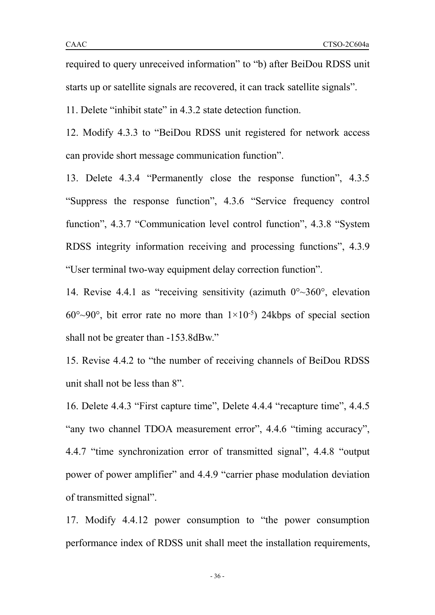required to query unreceived information" to "b) after BeiDou RDSS unit starts up or satellite signals are recovered, it can track satellite signals".

11. Delete "inhibit state" in 4.3.2 state detection function.

12. Modify 4.3.3 to "BeiDou RDSS unit registered for network access can provide short message communication function".

13. Delete 4.3.4 "Permanently close the response function", 4.3.5 "Suppress the response function", 4.3.6 "Service frequency control function", 4.3.7 "Communication level control function", 4.3.8 "System RDSS integrity information receiving and processing functions", 4.3.9 "User terminal two-way equipment delay correction function".

14. Revise 4.4.1 as "receiving sensitivity (azimuth  $0^{\circ}$   $\sim$  360 $^{\circ}$ , elevation  $60^{\circ}$ ~90°, bit error rate no more than  $1 \times 10^{-5}$ ) 24kbps of special section shall not be greater than -153.8dBw."

15. Revise 4.4.2 to "the number of receiving channels of BeiDou RDSS unit shall not be less than 8".

16. Delete 4.4.3 "First capture time", Delete 4.4.4 "recapture time", 4.4.5 "any two channel TDOA measurement error", 4.4.6 "timing accuracy", 4.4.7 "time synchronization error of transmitted signal", 4.4.8 "output power of power amplifier" and 4.4.9 "carrier phase modulation deviation of transmitted signal".

17. Modify 4.4.12 power consumption to "the power consumption performance index of RDSS unit shall meet the installation requirements,

- 36 -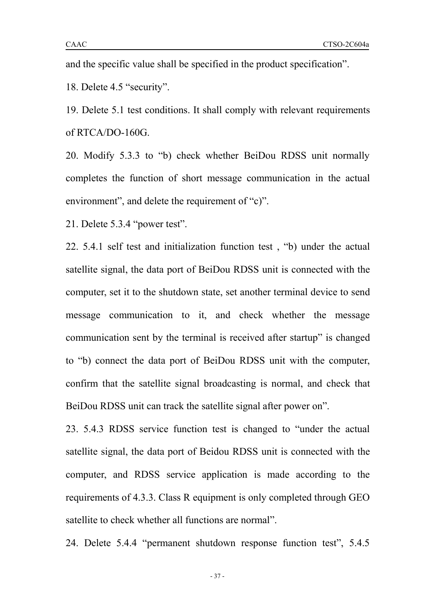18. Delete 4.5 "security".

19. Delete 5.1 test conditions. It shall comply with relevant requirements of RTCA/DO-160G.

20. Modify 5.3.3 to "b) check whether BeiDou RDSS unit normally completes the function of short message communication in the actual environment", and delete the requirement of "c)".

21. Delete 5.3.4 "power test".

22. 5.4.1 self test and initialization function test , "b) under the actual satellite signal, the data port of BeiDou RDSS unit is connected with the computer, set it to the shutdown state, set another terminal device to send message communication to it, and check whether the message communication sent by the terminal is received after startup" is changed to "b) connect the data port of BeiDou RDSS unit with the computer, confirm that the satellite signal broadcasting is normal, and check that BeiDou RDSS unit can track the satellite signal after power on".

23. 5.4.3 RDSS service function test is changed to "under the actual satellite signal, the data port of Beidou RDSS unit is connected with the computer, and RDSS service application is made according to the requirements of 4.3.3. Class R equipment is only completed through GEO satellite to check whether all functions are normal".

24. Delete 5.4.4 "permanent shutdown response function test", 5.4.5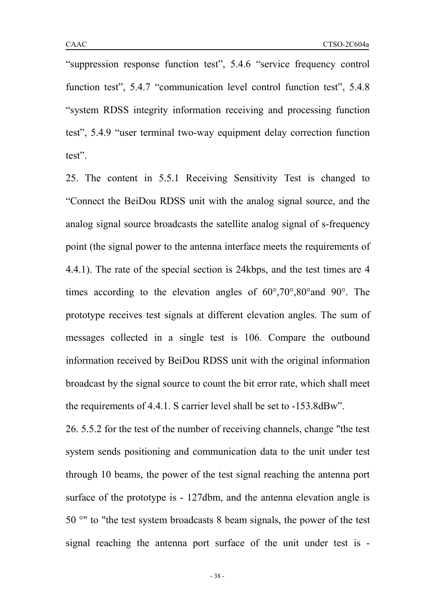"suppression response function test", 5.4.6 "service frequency control function test", 5.4.7 "communication level control function test", 5.4.8 "system RDSS integrity information receiving and processing function test", 5.4.9 "user terminal two-way equipment delay correction function test".

25. The content in 5.5.1 Receiving Sensitivity Test is changed to "Connect the BeiDou RDSS unit with the analog signal source, and the analog signal source broadcasts the satellite analog signal of s-frequency point (the signal power to the antenna interface meets the requirements of 4.4.1). The rate of the special section is 24kbps, and the test times are 4 times according to the elevation angles of 60°,70°,80°and 90°. The prototype receives test signals at different elevation angles. The sum of messages collected in a single test is 106. Compare the outbound information received by BeiDou RDSS unit with the original information broadcast by the signal source to count the bit error rate, which shall meet the requirements of 4.4.1. S carrier level shall be set to -153.8dBw".

26. 5.5.2 for the test of the number of receiving channels, change "the test system sends positioning and communication data to the unit under test through 10 beams, the power of the test signal reaching the antenna port surface of the prototype is - 127dbm, and the antenna elevation angle is 50 °" to "the test system broadcasts 8 beam signals, the power of the test signal reaching the antenna port surface of the unit under test is -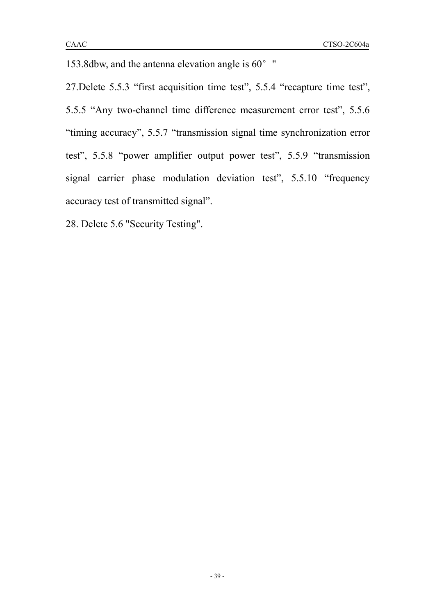153.8dbw, and the antenna elevation angle is  $60^{\circ}$  "

27.Delete 5.5.3 "first acquisition time test", 5.5.4 "recapture time test", 5.5.5 "Any two-channel time difference measurement error test", 5.5.6 "timing accuracy", 5.5.7 "transmission signal time synchronization error test", 5.5.8 "power amplifier output power test", 5.5.9 "transmission signal carrier phase modulation deviation test", 5.5.10 "frequency accuracy test of transmitted signal".

28. Delete 5.6 "Security Testing".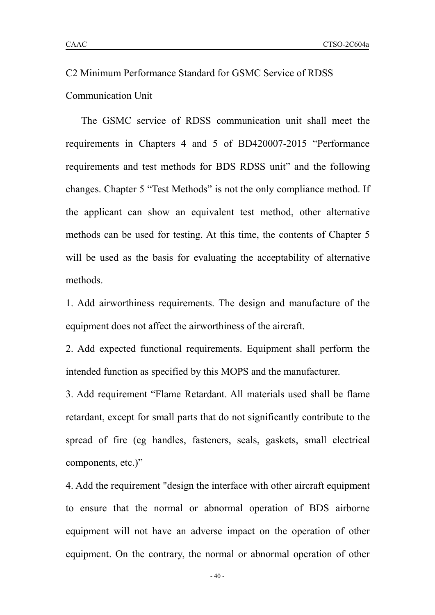The GSMC service of RDSS communication unit shall meet the requirements in Chapters 4 and 5 of BD420007-2015 "Performance requirements and test methods for BDS RDSS unit" and the following changes. Chapter 5 "Test Methods" is not the only compliance method. If the applicant can show an equivalent test method, other alternative methods can be used for testing. At this time, the contents of Chapter 5 will be used as the basis for evaluating the acceptability of alternative methods.

1. Add airworthiness requirements. The design and manufacture of the equipment does not affect the airworthiness of the aircraft.

2. Add expected functional requirements. Equipment shall perform the intended function as specified by this MOPS and the manufacturer.

3. Add requirement "Flame Retardant. All materials used shall be flame retardant, except for small parts that do not significantly contribute to the spread of fire (eg handles, fasteners, seals, gaskets, small electrical components, etc.)"

4. Add the requirement "design the interface with other aircraft equipment to ensure that the normal or abnormal operation of BDS airborne equipment will not have an adverse impact on the operation of other equipment. On the contrary, the normal or abnormal operation of other

- 40 -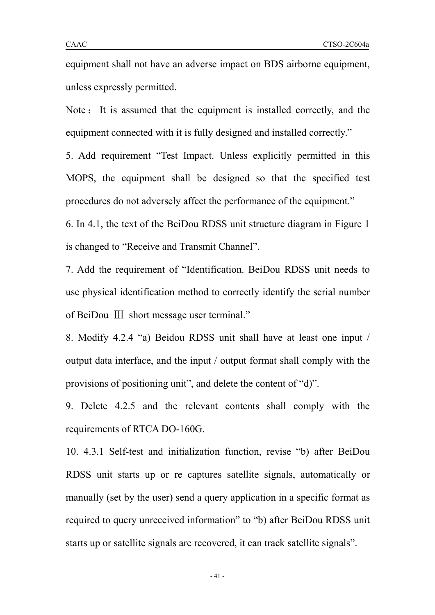equipment shall not have an adverse impact on BDS airborne equipment, unless expressly permitted.

Note : It is assumed that the equipment is installed correctly, and the equipment connected with it is fully designed and installed correctly."

5. Add requirement "Test Impact. Unless explicitly permitted in this MOPS, the equipment shall be designed so that the specified test procedures do not adversely affect the performance of the equipment."

6. In 4.1, the text of the BeiDou RDSS unit structure diagram in Figure 1 is changed to "Receive and Transmit Channel".

7. Add the requirement of "Identification. BeiDou RDSS unit needs to use physical identification method to correctly identify the serial number of BeiDou Ⅲ short message user terminal."

8. Modify 4.2.4 "a) Beidou RDSS unit shall have at least one input / output data interface, and the input / output format shall comply with the provisions of positioning unit", and delete the content of "d)".

9. Delete 4.2.5 and the relevant contents shall comply with the requirements of RTCA DO-160G.

10. 4.3.1 Self-test and initialization function, revise "b) after BeiDou RDSS unit starts up or re captures satellite signals, automatically or manually (set by the user) send a query application in a specific format as required to query unreceived information" to "b) after BeiDou RDSS unit starts up or satellite signals are recovered, it can track satellite signals".

- 41 -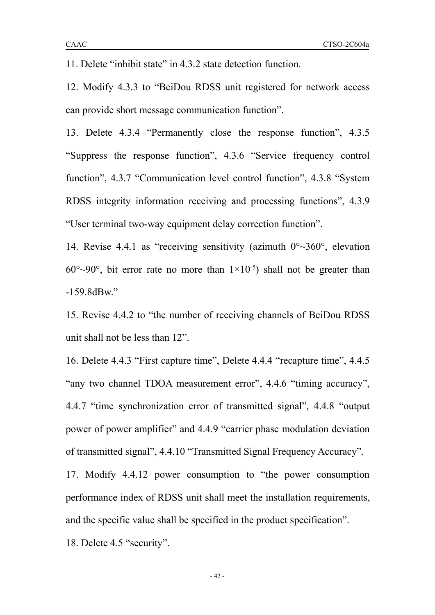12. Modify 4.3.3 to "BeiDou RDSS unit registered for network access can provide short message communication function".

13. Delete 4.3.4 "Permanently close the response function", 4.3.5 "Suppress the response function", 4.3.6 "Service frequency control function", 4.3.7 "Communication level control function", 4.3.8 "System RDSS integrity information receiving and processing functions", 4.3.9 "User terminal two-way equipment delay correction function".

14. Revise 4.4.1 as "receiving sensitivity (azimuth  $0^{\circ}$   $\sim$  360 $^{\circ}$ , elevation  $60^{\circ}$ ~90°, bit error rate no more than  $1\times10^{-5}$ ) shall not be greater than -159.8dBw."

15. Revise 4.4.2 to "the number of receiving channels of BeiDou RDSS unit shall not be less than 12".

16. Delete 4.4.3 "First capture time", Delete 4.4.4 "recapture time", 4.4.5 "any two channel TDOA measurement error", 4.4.6 "timing accuracy", 4.4.7 "time synchronization error of transmitted signal", 4.4.8 "output power of power amplifier" and 4.4.9 "carrier phase modulation deviation of transmitted signal", 4.4.10 "Transmitted Signal Frequency Accuracy".

17. Modify 4.4.12 power consumption to "the power consumption performance index of RDSS unit shall meet the installation requirements, and the specific value shall be specified in the product specification".

18. Delete 4.5 "security".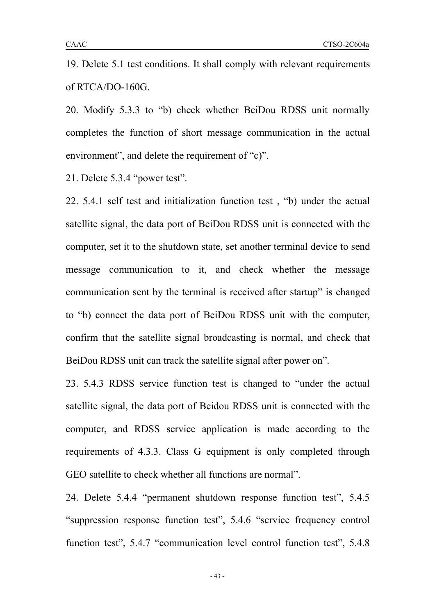19. Delete 5.1 test conditions. It shall comply with relevant requirements of RTCA/DO-160G.

20. Modify 5.3.3 to "b) check whether BeiDou RDSS unit normally completes the function of short message communication in the actual environment", and delete the requirement of "c)".

21. Delete 5.3.4 "power test".

22. 5.4.1 self test and initialization function test , "b) under the actual satellite signal, the data port of BeiDou RDSS unit is connected with the computer, set it to the shutdown state, set another terminal device to send message communication to it, and check whether the message communication sent by the terminal is received after startup" is changed to "b) connect the data port of BeiDou RDSS unit with the computer, confirm that the satellite signal broadcasting is normal, and check that BeiDou RDSS unit can track the satellite signal after power on".

23. 5.4.3 RDSS service function test is changed to "under the actual satellite signal, the data port of Beidou RDSS unit is connected with the computer, and RDSS service application is made according to the requirements of 4.3.3. Class G equipment is only completed through GEO satellite to check whether all functions are normal".

24. Delete 5.4.4 "permanent shutdown response function test", 5.4.5 "suppression response function test", 5.4.6 "service frequency control function test", 5.4.7 "communication level control function test", 5.4.8

- 43 -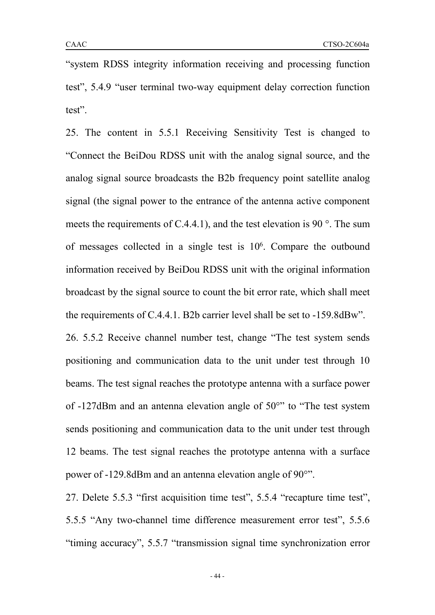"system RDSS integrity information receiving and processing function test", 5.4.9 "user terminal two-way equipment delay correction function test".

25. The content in 5.5.1 Receiving Sensitivity Test is changed to "Connect the BeiDou RDSS unit with the analog signal source, and the analog signal source broadcasts the B2b frequency point satellite analog signal (the signal power to the entrance of the antenna active component meets the requirements of C.4.4.1), and the test elevation is 90 $\degree$ . The sum of messages collected in a single test is 10 6 . Compare the outbound information received by BeiDou RDSS unit with the original information broadcast by the signal source to count the bit error rate, which shall meet the requirements of C.4.4.1. B2b carrier level shall be set to  $-159.8$ dBw".

26. 5.5.2 Receive channel number test, change "The test system sends positioning and communication data to the unit under test through 10 beams. The test signal reaches the prototype antenna with a surface power of -127dBm and an antenna elevation angle of 50°" to "The test system sends positioning and communication data to the unit under test through 12 beams. The test signal reaches the prototype antenna with a surface power of -129.8dBm and an antenna elevation angle of 90°".

27. Delete 5.5.3 "first acquisition time test", 5.5.4 "recapture time test", 5.5.5 "Any two-channel time difference measurement error test", 5.5.6 "timing accuracy", 5.5.7 "transmission signal time synchronization error

- 44 -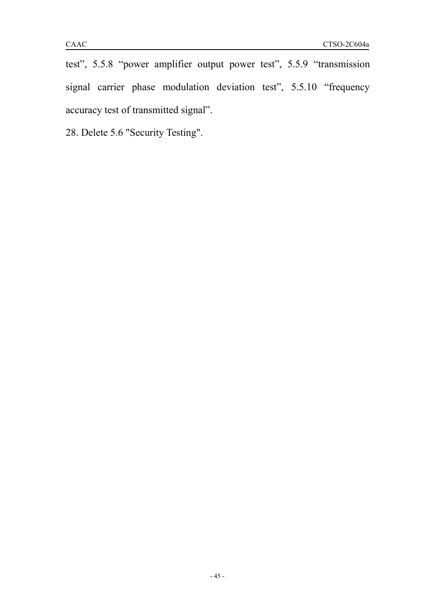test", 5.5.8 "power amplifier output power test", 5.5.9 "transmission signal carrier phase modulation deviation test", 5.5.10 "frequency accuracy test of transmitted signal".

28. Delete 5.6 "Security Testing".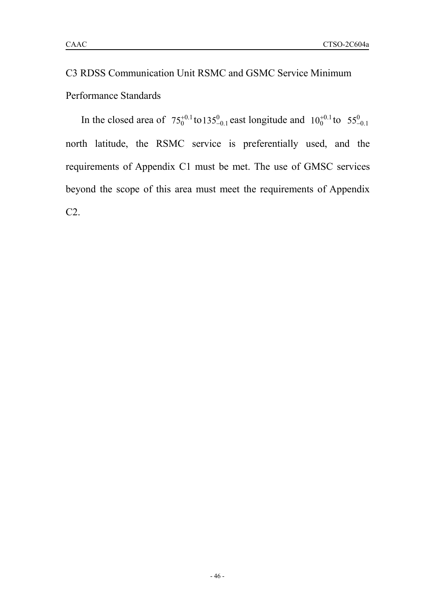# C3 RDSS Communication Unit RSMC and GSMC Service Minimum Performance Standards

In the closed area of  $75^{+0.1}_{0}$  to  $135^{0}_{-0.1}$  east longitude and  $10^{+0.1}_{0}$  to  $55^{0}_{-0.1}$ north latitude, the RSMC service is preferentially used, and the requirements of Appendix C1 must be met. The use of GMSC services beyond the scope of this area must meet the requirements of Appendix C2.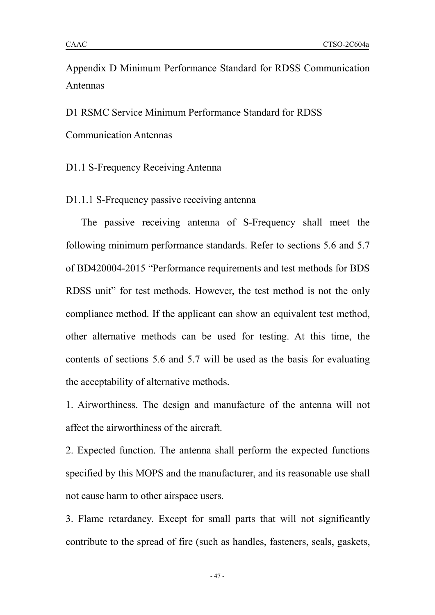Appendix D Minimum Performance Standard for RDSS Communication Antennas

D1 RSMC Service Minimum Performance Standard for RDSS

Communication Antennas

D1.1 S-Frequency Receiving Antenna

D1.1.1 S-Frequency passive receiving antenna

The passive receiving antenna of S-Frequency shall meet the following minimum performance standards. Refer to sections 5.6 and 5.7 of BD420004-2015 "Performance requirements and test methods for BDS RDSS unit" for test methods. However, the test method is not the only compliance method. If the applicant can show an equivalent test method, other alternative methods can be used for testing. At this time, the contents of sections 5.6 and 5.7 will be used as the basis for evaluating the acceptability of alternative methods.

1. Airworthiness. The design and manufacture of the antenna will not affect the airworthiness of the aircraft.

2. Expected function. The antenna shall perform the expected functions specified by this MOPS and the manufacturer, and its reasonable use shall not cause harm to other airspace users.

3. Flame retardancy. Except for small parts that will not significantly contribute to the spread of fire (such as handles, fasteners, seals, gaskets,

- 47 -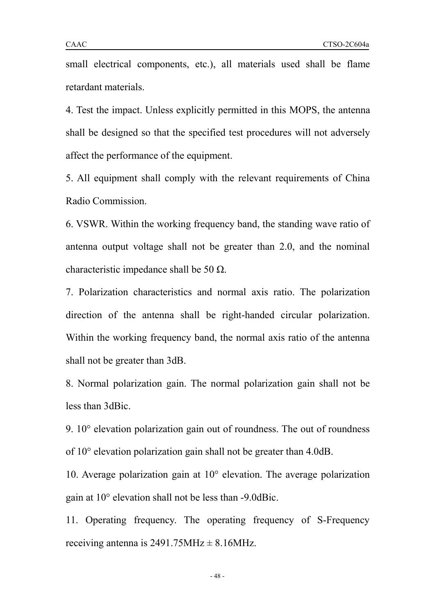small electrical components, etc.), all materials used shall be flame retardant materials.

4. Test the impact. Unless explicitly permitted in this MOPS, the antenna shall be designed so that the specified test procedures will not adversely affect the performance of the equipment.

5. All equipment shall comply with the relevant requirements of China Radio Commission.

6. VSWR. Within the working frequency band, the standing wave ratio of antenna output voltage shall not be greater than 2.0, and the nominal characteristic impedance shall be 50  $\Omega$ .

7. Polarization characteristics and normal axis ratio. The polarization direction of the antenna shall be right-handed circular polarization. Within the working frequency band, the normal axis ratio of the antenna shall not be greater than 3dB.

8. Normal polarization gain. The normal polarization gain shall not be less than 3dBic.

9. 10° elevation polarization gain out of roundness. The out of roundness of 10° elevation polarization gain shall not be greater than 4.0dB.

10. Average polarization gain at 10° elevation. The average polarization gain at 10° elevation shall not be less than -9.0dBic.

11. Operating frequency. The operating frequency of S-Frequency receiving antenna is  $2491.75 \text{MHz} \pm 8.16 \text{MHz}$ .

- 48 -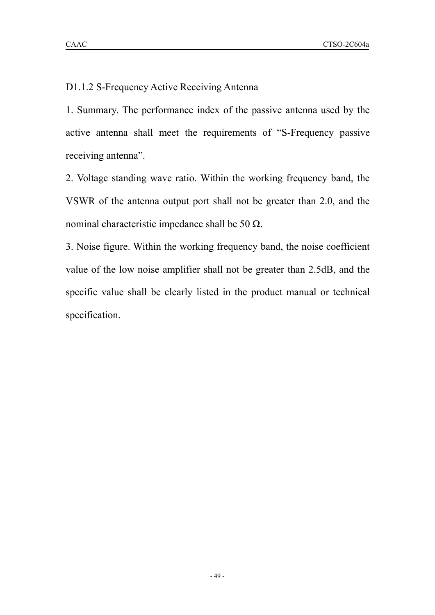D1.1.2 S-Frequency Active Receiving Antenna

1. Summary. The performance index of the passive antenna used by the active antenna shall meet the requirements of "S-Frequency passive receiving antenna".

2. Voltage standing wave ratio. Within the working frequency band, the VSWR of the antenna output port shall not be greater than 2.0, and the nominal characteristic impedance shall be 50  $Ω$ .

3. Noise figure. Within the working frequency band, the noise coefficient value of the low noise amplifier shall not be greater than 2.5dB, and the specific value shall be clearly listed in the product manual or technical specification.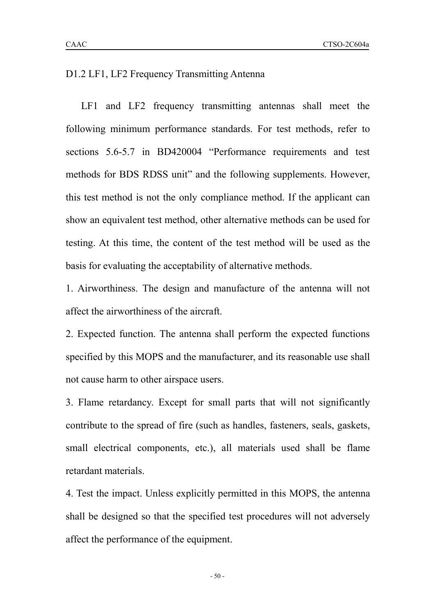LF1 and LF2 frequency transmitting antennas shall meet the following minimum performance standards. For test methods, refer to sections 5.6-5.7 in BD420004 "Performance requirements and test methods for BDS RDSS unit" and the following supplements. However, this test method is not the only compliance method. If the applicant can show an equivalent test method, other alternative methods can be used for testing. At this time, the content of the test method will be used as the basis for evaluating the acceptability of alternative methods.

1. Airworthiness. The design and manufacture of the antenna will not affect the airworthiness of the aircraft.

2. Expected function. The antenna shall perform the expected functions specified by this MOPS and the manufacturer, and its reasonable use shall not cause harm to other airspace users.

3. Flame retardancy. Except for small parts that will not significantly contribute to the spread of fire (such as handles, fasteners, seals, gaskets, small electrical components, etc.), all materials used shall be flame retardant materials.

4. Test the impact. Unless explicitly permitted in this MOPS, the antenna shall be designed so that the specified test procedures will not adversely affect the performance of the equipment.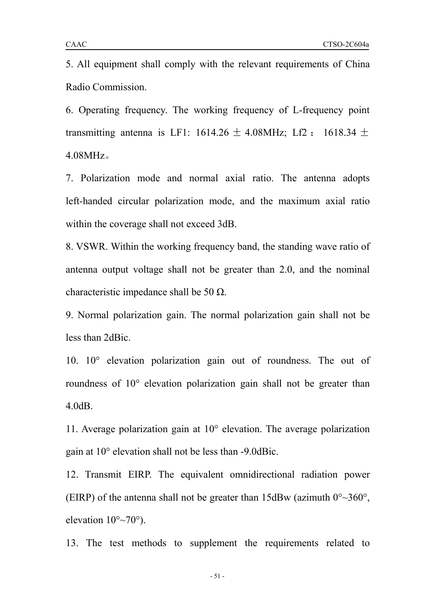6. Operating frequency. The working frequency of L-frequency point transmitting antenna is LF1:  $1614.26 \pm 4.08$ MHz; Lf2 :  $1618.34 \pm 1.08$ 4.08MHz。

7. Polarization mode and normal axial ratio. The antenna adopts left-handed circular polarization mode, and the maximum axial ratio within the coverage shall not exceed 3dB.

8. VSWR. Within the working frequency band, the standing wave ratio of antenna output voltage shall not be greater than 2.0, and the nominal characteristic impedance shall be 50  $\Omega$ .

9. Normal polarization gain. The normal polarization gain shall not be less than 2dBic.

10. 10° elevation polarization gain out of roundness. The out of roundness of 10° elevation polarization gain shall not be greater than 4.0dB.

11. Average polarization gain at  $10^{\circ}$  elevation. The average polarization gain at 10° elevation shall not be less than -9.0dBic.

12. Transmit EIRP. The equivalent omnidirectional radiation power (EIRP) of the antenna shall not be greater than  $15dBw$  (azimuth  $0^{\circ} \sim 360^{\circ}$ , elevation  $10^{\circ}$ ~70°).

13. The test methods to supplement the requirements related to

- 51 -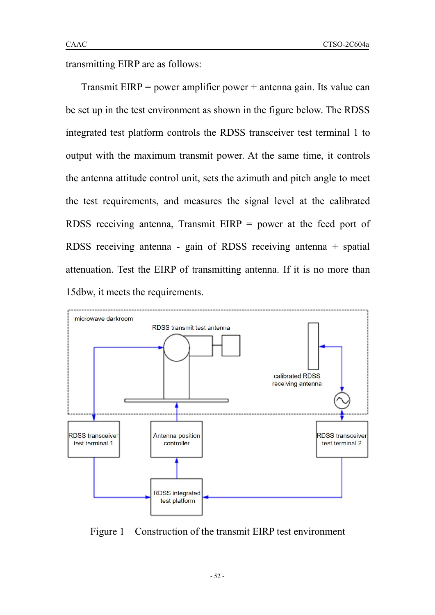transmitting EIRP are as follows:

Transmit  $EIRP = power$  amplifier power  $+$  antenna gain. Its value can be set up in the test environment as shown in the figure below. The RDSS integrated test platform controls the RDSS transceiver test terminal 1 to output with the maximum transmit power. At the same time, it controls the antenna attitude control unit, sets the azimuth and pitch angle to meet the test requirements, and measures the signal level at the calibrated RDSS receiving antenna, Transmit EIRP = power at the feed port of RDSS receiving antenna - gain of RDSS receiving antenna + spatial attenuation. Test the EIRP of transmitting antenna. If it is no more than 15dbw, it meets the requirements.



Figure 1 Construction of the transmit EIRP test environment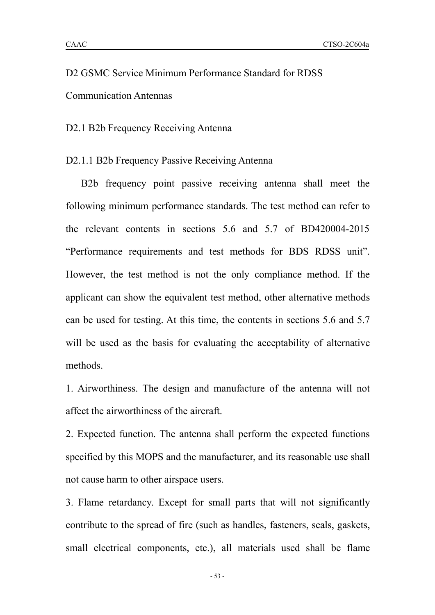# D2 GSMC Service Minimum Performance Standard for RDSS Communication Antennas

D2.1 B2b Frequency Receiving Antenna

#### D2.1.1 B2b Frequency Passive Receiving Antenna

B2b frequency point passive receiving antenna shall meet the following minimum performance standards. The test method can refer to the relevant contents in sections 5.6 and 5.7 of BD420004-2015 "Performance requirements and test methods for BDS RDSS unit". However, the test method is not the only compliance method. If the applicant can show the equivalent test method, other alternative methods can be used for testing.At this time, the contents in sections 5.6 and 5.7 will be used as the basis for evaluating the acceptability of alternative methods.

1. Airworthiness. The design and manufacture of the antenna will not affect the airworthiness of the aircraft.

2. Expected function. The antenna shall perform the expected functions specified by this MOPS and the manufacturer, and its reasonable use shall not cause harm to other airspace users.

3. Flame retardancy. Except for small parts that will not significantly contribute to the spread of fire (such as handles, fasteners, seals, gaskets, small electrical components, etc.), all materials used shall be flame

- 53 -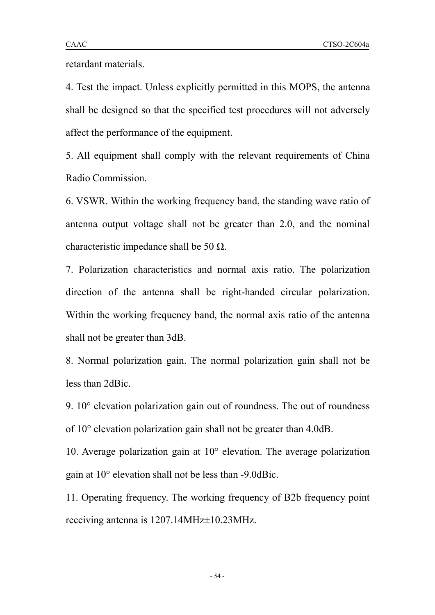retardant materials.

4. Test the impact. Unless explicitly permitted in this MOPS, the antenna shall be designed so that the specified test procedures will not adversely affect the performance of the equipment.

5. All equipment shall comply with the relevant requirements of China Radio Commission.

6. VSWR. Within the working frequency band, the standing wave ratio of antenna output voltage shall not be greater than 2.0, and the nominal characteristic impedance shall be 50  $\Omega$ .

7. Polarization characteristics and normal axis ratio. The polarization direction of the antenna shall be right-handed circular polarization. Within the working frequency band, the normal axis ratio of the antenna shall not be greater than 3dB.

8. Normal polarization gain. The normal polarization gain shall not be less than 2dBic.

9. 10° elevation polarization gain out of roundness. The out of roundness of 10° elevation polarization gain shall not be greater than 4.0dB.

10. Average polarization gain at 10° elevation. The average polarization gain at 10° elevation shall not be less than -9.0dBic.

11. Operating frequency. The working frequency of B2b frequency point receiving antenna is 1207.14MHz $\pm$ 10.23MHz.

- 54 -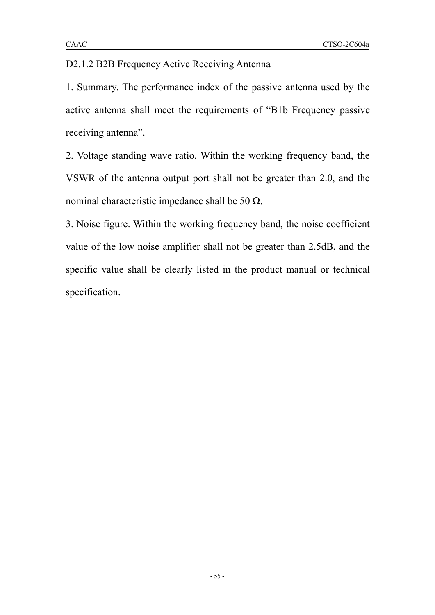## D2.1.2 B2B Frequency Active Receiving Antenna

1. Summary. The performance index of the passive antenna used by the active antenna shall meet the requirements of "B1b Frequency passive receiving antenna".

2. Voltage standing wave ratio. Within the working frequency band, the VSWR of the antenna output port shall not be greater than 2.0, and the nominal characteristic impedance shall be 50  $Ω$ .

3. Noise figure. Within the working frequency band, the noise coefficient value of the low noise amplifier shall not be greater than 2.5dB, and the specific value shall be clearly listed in the product manual or technical specification.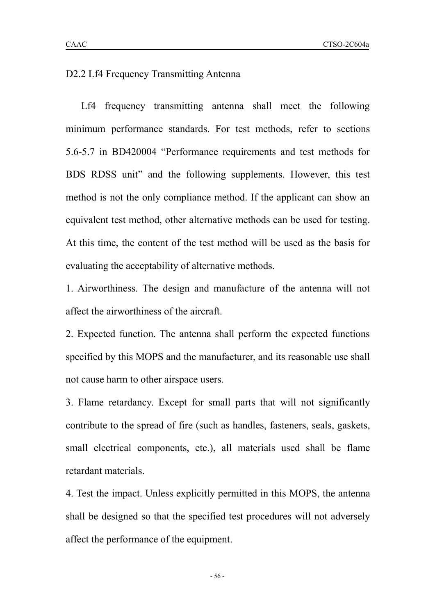D2.2 Lf4 Frequency Transmitting Antenna

Lf4 frequency transmitting antenna shall meet the following minimum performance standards. For test methods, refer to sections 5.6-5.7 in BD420004 "Performance requirements and test methods for BDS RDSS unit" and the following supplements. However, this test method is not the only compliance method. If the applicant can show an equivalent test method, other alternative methods can be used for testing. At this time, the content of the test method will be used as the basis for evaluating the acceptability of alternative methods.

1. Airworthiness. The design and manufacture of the antenna will not affect the airworthiness of the aircraft.

2. Expected function. The antenna shall perform the expected functions specified by this MOPS and the manufacturer, and its reasonable use shall not cause harm to other airspace users.

3. Flame retardancy. Except for small parts that will not significantly contribute to the spread of fire (such as handles, fasteners, seals, gaskets, small electrical components, etc.), all materials used shall be flame retardant materials.

4. Test the impact. Unless explicitly permitted in this MOPS, the antenna shall be designed so that the specified test procedures will not adversely affect the performance of the equipment.

- 56 -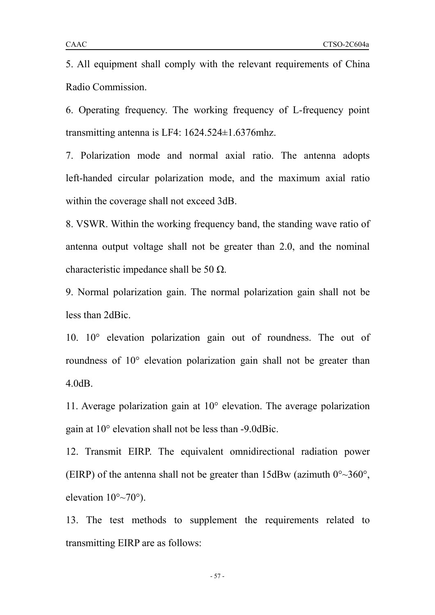6. Operating frequency. The working frequency of L-frequency point transmitting antenna is LF4: 1624.524±1.6376mhz.

7. Polarization mode and normal axial ratio. The antenna adopts left-handed circular polarization mode, and the maximum axial ratio within the coverage shall not exceed 3dB.

8. VSWR. Within the working frequency band, the standing wave ratio of antenna output voltage shall not be greater than 2.0, and the nominal characteristic impedance shall be 50  $\Omega$ .

9. Normal polarization gain. The normal polarization gain shall not be less than 2dBic.

10. 10° elevation polarization gain out of roundness. The out of roundness of 10° elevation polarization gain shall not be greater than 4.0dB.

11. Average polarization gain at 10° elevation. The average polarization gain at 10° elevation shall not be less than -9.0dBic.

12. Transmit EIRP. The equivalent omnidirectional radiation power (EIRP) of the antenna shall not be greater than  $15dBw$  (azimuth  $0^{\circ}$   $\sim$  360 $^{\circ}$ , elevation  $10^{\circ}$ ~70°).

13. The test methods to supplement the requirements related to transmitting EIRP are as follows:

- 57 -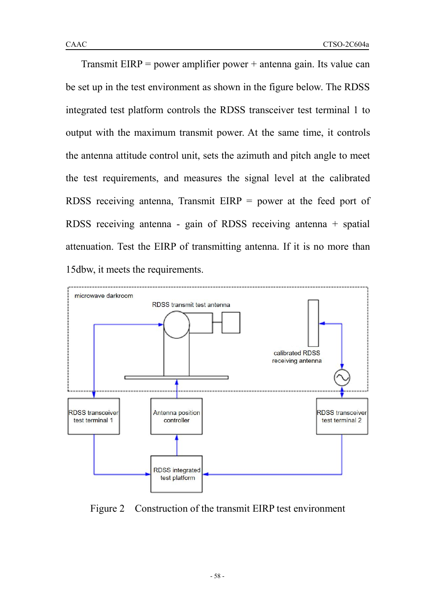Transmit  $EIRP = power$  amplifier power  $+$  antenna gain. Its value can be set up in the test environment as shown in the figure below. The RDSS integrated test platform controls the RDSS transceiver test terminal 1 to output with the maximum transmit power. At the same time, it controls the antenna attitude control unit, sets the azimuth and pitch angle to meet the test requirements, and measures the signal level at the calibrated RDSS receiving antenna, Transmit EIRP = power at the feed port of RDSS receiving antenna - gain of RDSS receiving antenna + spatial attenuation. Test the EIRP of transmitting antenna. If it is no more than 15dbw, it meets the requirements.



Figure 2 Construction of the transmit EIRP test environment